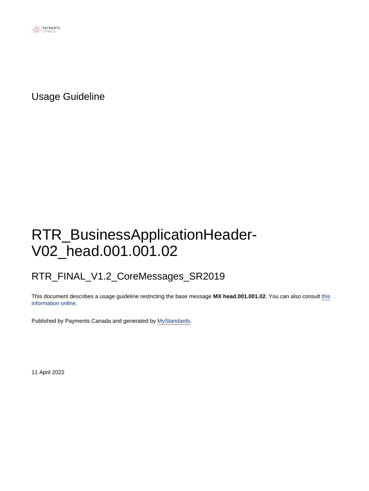

Usage Guideline

# RTR\_BusinessApplicationHeader-V02\_head.001.001.02

## RTR\_FINAL\_V1.2\_CoreMessages\_SR2019

This document describes a usage guideline restricting the base message **MX head.001.001.02**. You can also consult [this](https://www2.swift.com/mystandards/#/mp/mx/_L_b1kJ8bEeyX2-3WgfEAkg/version/3/_L_b1kZ8bEeyX2-3WgfEAkg) [information online](https://www2.swift.com/mystandards/#/mp/mx/_L_b1kJ8bEeyX2-3WgfEAkg/version/3/_L_b1kZ8bEeyX2-3WgfEAkg).

Published by Payments Canada and generated by [MyStandards](http://www.swift.com/mystandards).

11 April 2022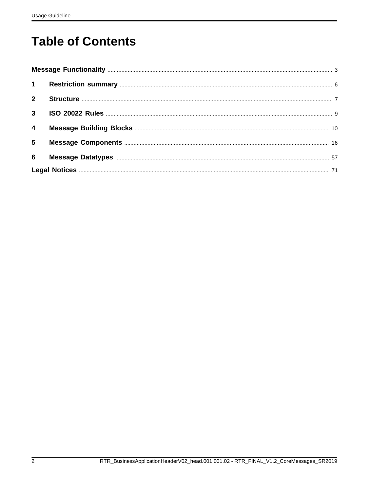# **Table of Contents**

| $2^{\circ}$             |  |
|-------------------------|--|
|                         |  |
| $\overline{\mathbf{4}}$ |  |
| 5 <sub>5</sub>          |  |
| 6                       |  |
|                         |  |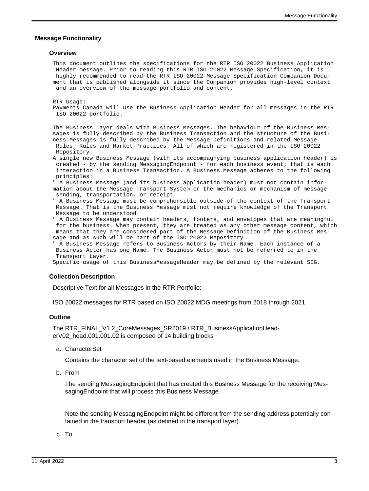#### <span id="page-2-0"></span> **Message Functionality**

#### **Overview**

This document outlines the specifications for the RTR ISO 20022 Business Application Header message. Prior to reading this RTR ISO 20022 Message Specification, it is highly recommended to read the RTR ISO 20022 Message Specification Companion Document that is published alongside it since the Companion provides high-level context and an overview of the message portfolio and content.

RTR Usage:

Payments Canada will use the Business Application Header for all messages in the RTR ISO 20022 portfolio.

The Business Layer deals with Business Messages. The behaviour of the Business Messages is fully described by the Business Transaction and the structure of the Business Messages is fully described by the Message Definitions and related Message Rules, Rules and Market Practices. All of which are registered in the ISO 20022 Repository.

A single new Business Message (with its accompagnying business application header) is created - by the sending MessagingEndpoint - for each business event; that is each interaction in a Business Transaction. A Business Message adheres to the following principles:

" A Business Message (and its business application header) must not contain information about the Message Transport System or the mechanics or mechanism of message sending, transportation, or receipt.

" A Business Message must be comprehensible outside of the context of the Transport Message. That is the Business Message must not require knowledge of the Transport Message to be understood.

" A Business Message may contain headers, footers, and envelopes that are meaningful for the business. When present, they are treated as any other message content, which means that they are considered part of the Message Definition of the Business Message and as such will be part of the ISO 20022 Repository.

" A Business Message refers to Business Actors by their Name. Each instance of a Business Actor has one Name. The Business Actor must not be referred to in the Transport Layer.

Specific usage of this BusinessMessageHeader may be defined by the relevant SEG.

#### **Collection Description**

Descriptive Text for all Messages in the RTR Portfolio:

ISO 20022 messages for RTR based on ISO 20022 MDG meetings from 2018 through 2021.

#### **Outline**

The RTR\_FINAL\_V1.2\_CoreMessages\_SR2019 / RTR\_BusinessApplicationHeaderV02\_head.001.001.02 is composed of 14 building blocks

a. CharacterSet

Contains the character set of the text-based elements used in the Business Message.

b. From

The sending MessagingEndpoint that has created this Business Message for the receiving MessagingEndpoint that will process this Business Message.

Note the sending MessagingEndpoint might be different from the sending address potentially contained in the transport header (as defined in the transport layer).

c. To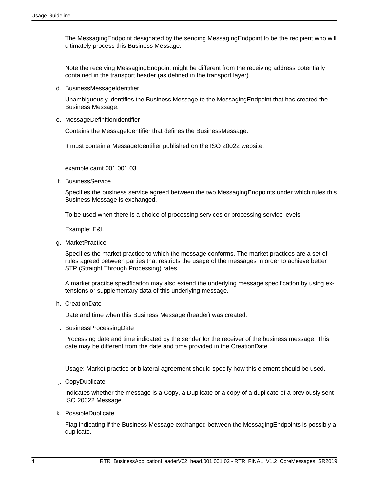The MessagingEndpoint designated by the sending MessagingEndpoint to be the recipient who will ultimately process this Business Message.

Note the receiving MessagingEndpoint might be different from the receiving address potentially contained in the transport header (as defined in the transport layer).

d. BusinessMessageIdentifier

Unambiguously identifies the Business Message to the MessagingEndpoint that has created the Business Message.

e. MessageDefinitionIdentifier

Contains the MessageIdentifier that defines the BusinessMessage.

It must contain a MessageIdentifier published on the ISO 20022 website.

example camt.001.001.03.

f. BusinessService

Specifies the business service agreed between the two MessagingEndpoints under which rules this Business Message is exchanged.

To be used when there is a choice of processing services or processing service levels.

Example: E&I.

g. MarketPractice

Specifies the market practice to which the message conforms. The market practices are a set of rules agreed between parties that restricts the usage of the messages in order to achieve better STP (Straight Through Processing) rates.

A market practice specification may also extend the underlying message specification by using extensions or supplementary data of this underlying message.

h. CreationDate

Date and time when this Business Message (header) was created.

i. BusinessProcessingDate

Processing date and time indicated by the sender for the receiver of the business message. This date may be different from the date and time provided in the CreationDate.

Usage: Market practice or bilateral agreement should specify how this element should be used.

j. CopyDuplicate

Indicates whether the message is a Copy, a Duplicate or a copy of a duplicate of a previously sent ISO 20022 Message.

k. PossibleDuplicate

Flag indicating if the Business Message exchanged between the MessagingEndpoints is possibly a duplicate.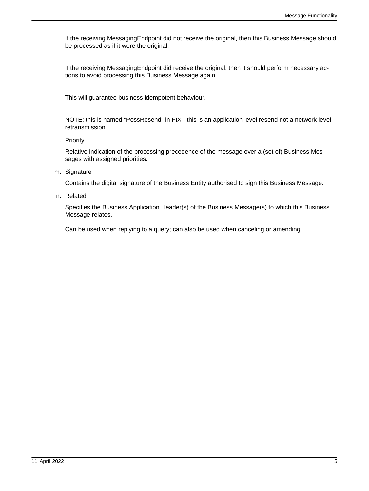If the receiving MessagingEndpoint did not receive the original, then this Business Message should be processed as if it were the original.

If the receiving MessagingEndpoint did receive the original, then it should perform necessary actions to avoid processing this Business Message again.

This will guarantee business idempotent behaviour.

NOTE: this is named "PossResend" in FIX - this is an application level resend not a network level retransmission.

l. Priority

Relative indication of the processing precedence of the message over a (set of) Business Messages with assigned priorities.

m. Signature

Contains the digital signature of the Business Entity authorised to sign this Business Message.

n. Related

Specifies the Business Application Header(s) of the Business Message(s) to which this Business Message relates.

Can be used when replying to a query; can also be used when canceling or amending.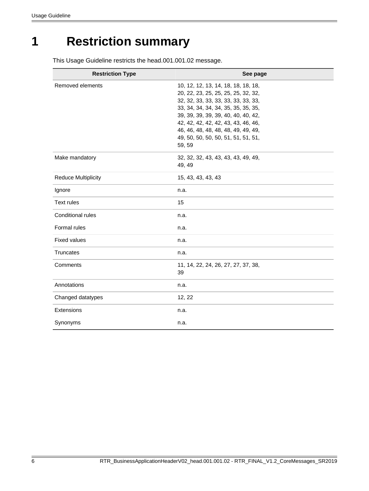# <span id="page-5-0"></span>**1 Restriction summary**

This Usage Guideline restricts the head.001.001.02 message.

| <b>Restriction Type</b>    | See page                                                                                                                                                                                                                                                                                                                       |
|----------------------------|--------------------------------------------------------------------------------------------------------------------------------------------------------------------------------------------------------------------------------------------------------------------------------------------------------------------------------|
| Removed elements           | 10, 12, 12, 13, 14, 18, 18, 18, 18,<br>20, 22, 23, 25, 25, 25, 25, 32, 32,<br>32, 32, 33, 33, 33, 33, 33, 33, 33,<br>33, 34, 34, 34, 34, 35, 35, 35, 35,<br>39, 39, 39, 39, 39, 40, 40, 40, 42,<br>42, 42, 42, 42, 42, 43, 43, 46, 46,<br>46, 46, 48, 48, 48, 48, 49, 49, 49,<br>49, 50, 50, 50, 50, 51, 51, 51, 51,<br>59, 59 |
| Make mandatory             | 32, 32, 32, 43, 43, 43, 43, 49, 49,<br>49, 49                                                                                                                                                                                                                                                                                  |
| <b>Reduce Multiplicity</b> | 15, 43, 43, 43, 43                                                                                                                                                                                                                                                                                                             |
| Ignore                     | n.a.                                                                                                                                                                                                                                                                                                                           |
| <b>Text rules</b>          | 15                                                                                                                                                                                                                                                                                                                             |
| Conditional rules          | n.a.                                                                                                                                                                                                                                                                                                                           |
| Formal rules               | n.a.                                                                                                                                                                                                                                                                                                                           |
| <b>Fixed values</b>        | n.a.                                                                                                                                                                                                                                                                                                                           |
| Truncates                  | n.a.                                                                                                                                                                                                                                                                                                                           |
| Comments                   | 11, 14, 22, 24, 26, 27, 27, 37, 38,<br>39                                                                                                                                                                                                                                                                                      |
| Annotations                | n.a.                                                                                                                                                                                                                                                                                                                           |
| Changed datatypes          | 12, 22                                                                                                                                                                                                                                                                                                                         |
| Extensions                 | n.a.                                                                                                                                                                                                                                                                                                                           |
| Synonyms                   | n.a.                                                                                                                                                                                                                                                                                                                           |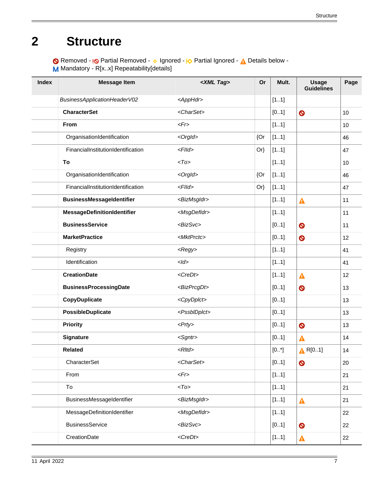# <span id="page-6-0"></span>**2 Structure**

Removed - <sub>!</sub>© Partial Removed - 
o Ignored - <sup>1</sup>

<sub>2</sub> Partial Ignored - 
<sub>1</sub>

<sub>2</sub> Details below -

M Mandatory - R[x.x] Repeatability[details]

| <b>Index</b> | <b>Message Item</b>                | <xml tag=""></xml>        | Or     | Mult. | <b>Usage</b><br>Guidelines | Page |
|--------------|------------------------------------|---------------------------|--------|-------|----------------------------|------|
|              | BusinessApplicationHeaderV02       | <apphdr></apphdr>         |        | [11]  |                            |      |
|              | <b>CharacterSet</b>                | <charset></charset>       |        | [01]  | $\bullet$                  | 10   |
|              | From                               | $\langle Fr \rangle$      |        | [11]  |                            | 10   |
|              | OrganisationIdentification         | <orgld></orgld>           | {Or    | [11]  |                            | 46   |
|              | FinancialInstitutionIdentification | $<$ Flld>                 | $Or\}$ | [11]  |                            | 47   |
|              | To                                 | $<$ To $>$                |        | [11]  |                            | 10   |
|              | OrganisationIdentification         | <orgld></orgld>           | {Or    | [11]  |                            | 46   |
|              | FinancialInstitutionIdentification | $<$ Flld>                 | $Or\}$ | [11]  |                            | 47   |
|              | <b>BusinessMessageIdentifier</b>   | <bizmsgldr></bizmsgldr>   |        | [11]  | $\blacktriangle$           | 11   |
|              | MessageDefinitionIdentifier        | <msgdefidr></msgdefidr>   |        | [11]  |                            | 11   |
|              | <b>BusinessService</b>             | <bizsvc></bizsvc>         |        | [01]  | $\bullet$                  | 11   |
|              | <b>MarketPractice</b>              | <mktprctc></mktprctc>     |        | [01]  | $\bullet$                  | 12   |
|              | Registry                           | <regy></regy>             |        | [11]  |                            | 41   |
|              | Identification                     | $<$ <i>ld</i> >           |        | [11]  |                            | 41   |
|              | <b>CreationDate</b>                | <credt></credt>           |        | [11]  | $\blacktriangle$           | 12   |
|              | <b>BusinessProcessingDate</b>      | <bizprcgdt></bizprcgdt>   |        | [01]  | $\bullet$                  | 13   |
|              | CopyDuplicate                      | <cpydplct></cpydplct>     |        | [01]  |                            | 13   |
|              | PossibleDuplicate                  | <pssbldplct></pssbldplct> |        | [01]  |                            | 13   |
|              | <b>Priority</b>                    | $<$ Prty>                 |        | [01]  | $\bullet$                  | 13   |
|              | Signature                          | <sgntr></sgntr>           |        | [01]  | $\blacktriangle$           | 14   |
|              | <b>Related</b>                     | $<$ Rltd>                 |        | [0.1] | $\triangle$ R[01]          | 14   |
|              | CharacterSet                       | <charset></charset>       |        | [01]  | $\bullet$                  | 20   |
|              | From                               | $\langle Fr \rangle$      |        | [11]  |                            | 21   |
|              | To                                 | $<$ To>                   |        | [11]  |                            | 21   |
|              | BusinessMessageIdentifier          | <bizmsgldr></bizmsgldr>   |        | [11]  | $\blacktriangle$           | 21   |
|              | MessageDefinitionIdentifier        | <msgdefidr></msgdefidr>   |        | [11]  |                            | 22   |
|              | <b>BusinessService</b>             | <bizsvc></bizsvc>         |        | [01]  | $\bullet$                  | 22   |
|              | CreationDate                       | $<$ CreDt $>$             |        | [11]  | Δ                          | 22   |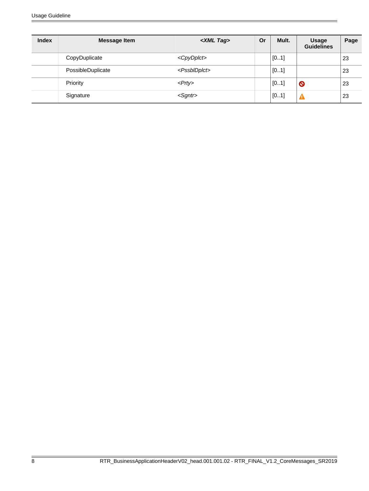| <b>Index</b> | <b>Message Item</b> | <xml tag=""></xml>        | Or | Mult. | <b>Usage</b><br><b>Guidelines</b> | Page |
|--------------|---------------------|---------------------------|----|-------|-----------------------------------|------|
|              | CopyDuplicate       | <cpydplct></cpydplct>     |    | [01]  |                                   | 23   |
|              | PossibleDuplicate   | <pssbldplct></pssbldplct> |    | [01]  |                                   | 23   |
|              | Priority            | $<$ Prty>                 |    | [01]  | Q                                 | 23   |
|              | Signature           | $<$ Sgntr $>$             |    | [01]  |                                   | 23   |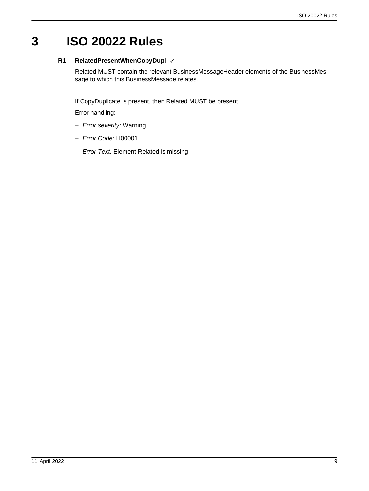# <span id="page-8-0"></span>**3 ISO 20022 Rules**

### **R1 RelatedPresentWhenCopyDupl** ✓

Related MUST contain the relevant BusinessMessageHeader elements of the BusinessMessage to which this BusinessMessage relates.

If CopyDuplicate is present, then Related MUST be present.

Error handling:

- Error severity: Warning
- Error Code: H00001
- Error Text: Element Related is missing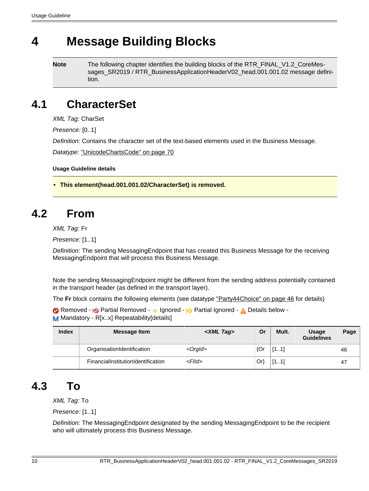# <span id="page-9-0"></span>**4 Message Building Blocks**

**Note** The following chapter identifies the building blocks of the RTR\_FINAL\_V1.2\_CoreMessages\_SR2019 / RTR\_BusinessApplicationHeaderV02\_head.001.001.02 message definition.

# <span id="page-9-2"></span>**4.1 CharacterSet**

XML Tag: CharSet

Presence: [0..1]

Definition: Contains the character set of the text-based elements used in the Business Message.

Datatype: ["UnicodeChartsCode" on page 70](#page-69-0)

**Usage Guideline details**

<span id="page-9-1"></span>• **This element(head.001.001.02/CharacterSet) is removed.**

# <span id="page-9-3"></span>**4.2 From**

XML Tag: Fr

Presence: [1..1]

Definition: The sending MessagingEndpoint that has created this Business Message for the receiving MessagingEndpoint that will process this Business Message.

Note the sending MessagingEndpoint might be different from the sending address potentially contained in the transport header (as defined in the transport layer).

The **Fr** block contains the following elements (see datatype ["Party44Choice" on page 46](#page-45-5) for details)

Removed - <sub>!</sub>© Partial Removed - 
o Ignored - <sub>!</sub>O Partial Ignored - 
<sub>A</sub> Details below -M Mandatory - R[x..x] Repeatability[details]

| <b>Index</b> | <b>Message Item</b>                | <xml tag=""></xml> | Or     | Mult. | <b>Usage</b><br><b>Guidelines</b> | Page |
|--------------|------------------------------------|--------------------|--------|-------|-----------------------------------|------|
|              | OrganisationIdentification         | $<$ Orgld $>$      | ${Qr}$ | [11]  |                                   | 46   |
|              | FinancialInstitutionIdentification | $<$ Flld $>$       | Or)    | [11]  |                                   | 47   |

## <span id="page-9-4"></span>**4.3 To**

XML Tag: To

Presence: [1..1]

Definition: The MessagingEndpoint designated by the sending MessagingEndpoint to be the recipient who will ultimately process this Business Message.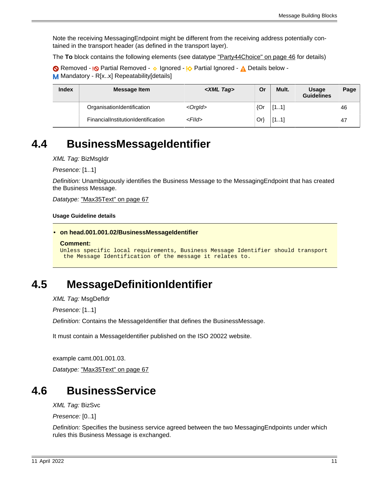Note the receiving MessagingEndpoint might be different from the receiving address potentially contained in the transport header (as defined in the transport layer).

The **To** block contains the following elements (see datatype ["Party44Choice" on page 46](#page-45-5) for details)

Removed - <sub>!</sub>© Partial Removed - 
o Ignored - <sup>1</sup>

<sub>2</sub> Partial Ignored - 
<sub>1</sub>

<sub>2</sub> Details below -M Mandatory - R[x..x] Repeatability[details]

| <b>Index</b> | Message Item                              | <xml tag=""></xml> | Or  | Mult. | <b>Usage</b><br><b>Guidelines</b> | Page |
|--------------|-------------------------------------------|--------------------|-----|-------|-----------------------------------|------|
|              | OrganisationIdentification                | $<$ Orgld $>$      | {Or | [11]  |                                   | 46   |
|              | <b>FinancialInstitutionIdentification</b> | $<$ Flld $>$       | Or  | [11]  |                                   | 47   |

## <span id="page-10-1"></span>**4.4 BusinessMessageIdentifier**

XML Tag: BizMsgIdr

Presence: [1..1]

Definition: Unambiguously identifies the Business Message to the MessagingEndpoint that has created the Business Message.

Datatype: ["Max35Text" on page 67](#page-66-0)

**Usage Guideline details**

```
• on head.001.001.02/BusinessMessageIdentifier
```

```
Comment:
```

```
Unless specific local requirements, Business Message Identifier should transport
 the Message Identification of the message it relates to.
```
# <span id="page-10-2"></span>**4.5 MessageDefinitionIdentifier**

XML Tag: MsgDefIdr

Presence: [1..1]

Definition: Contains the MessageIdentifier that defines the BusinessMessage.

It must contain a MessageIdentifier published on the ISO 20022 website.

example camt.001.001.03.

Datatype: ["Max35Text" on page 67](#page-66-0)

## <span id="page-10-3"></span>**4.6 BusinessService**

XML Tag: BizSvc

Presence: [0..1]

Definition: Specifies the business service agreed between the two MessagingEndpoints under which rules this Business Message is exchanged.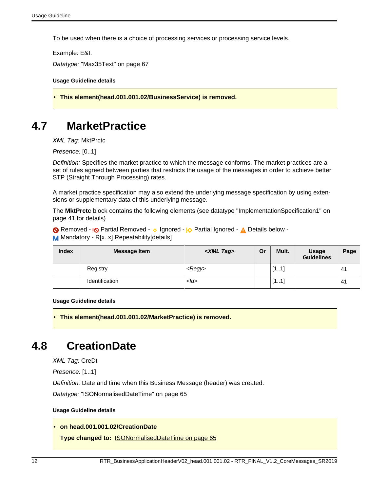To be used when there is a choice of processing services or processing service levels.

Example: E&I.

Datatype: ["Max35Text" on page 67](#page-66-0)

**Usage Guideline details**

<span id="page-11-0"></span>• **This element(head.001.001.02/BusinessService) is removed.**

## <span id="page-11-3"></span>**4.7 MarketPractice**

XML Tag: MktPrctc

Presence: [0..1]

Definition: Specifies the market practice to which the message conforms. The market practices are a set of rules agreed between parties that restricts the usage of the messages in order to achieve better STP (Straight Through Processing) rates.

A market practice specification may also extend the underlying message specification by using extensions or supplementary data of this underlying message.

The **MktPrctc** block contains the following elements (see datatype ["ImplementationSpecification1" on](#page-40-2) [page 41](#page-40-2) for details)

Removed - <sub>!</sub>© Partial Removed - 
o Ignored - <sup>1</sup>

<sub>2</sub> Partial Ignored - 
<sub>1</sub>

<sub>2</sub> Details below -M Mandatory - R[x..x] Repeatability[details]

| <b>Index</b> | Message Item   | <xml tag=""></xml> | Or | Mult. | Usage<br><b>Guidelines</b> | Page |
|--------------|----------------|--------------------|----|-------|----------------------------|------|
|              | Registry       | <regy></regy>      |    | [11]  |                            | 41   |
|              | Identification | $<$ Id $>$         |    | [11]  |                            | 41   |

#### **Usage Guideline details**

<span id="page-11-1"></span>• **This element(head.001.001.02/MarketPractice) is removed.**

## <span id="page-11-4"></span>**4.8 CreationDate**

XML Tag: CreDt

Presence: [1..1]

Definition: Date and time when this Business Message (header) was created.

Datatype: ["ISONormalisedDateTime" on page 65](#page-64-0)

#### **Usage Guideline details**

### <span id="page-11-2"></span>• **on head.001.001.02/CreationDate**

**Type changed to:** [ISONormalisedDateTime on page 65](#page-64-0)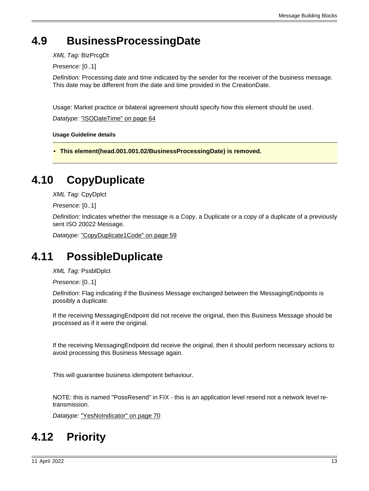# <span id="page-12-1"></span>**4.9 BusinessProcessingDate**

XML Tag: BizPrcgDt

Presence: [0..1]

Definition: Processing date and time indicated by the sender for the receiver of the business message. This date may be different from the date and time provided in the CreationDate.

Usage: Market practice or bilateral agreement should specify how this element should be used.

Datatype: ["ISODateTime" on page 64](#page-63-0)

**Usage Guideline details**

<span id="page-12-0"></span>• **This element(head.001.001.02/BusinessProcessingDate) is removed.**

## <span id="page-12-2"></span>**4.10 CopyDuplicate**

XML Tag: CpyDplct

Presence: [0..1]

Definition: Indicates whether the message is a Copy, a Duplicate or a copy of a duplicate of a previously sent ISO 20022 Message.

Datatype: ["CopyDuplicate1Code" on page 59](#page-58-2)

## <span id="page-12-3"></span>**4.11 PossibleDuplicate**

XML Tag: PssblDplct

Presence: [0..1]

Definition: Flag indicating if the Business Message exchanged between the MessagingEndpoints is possibly a duplicate.

If the receiving MessagingEndpoint did not receive the original, then this Business Message should be processed as if it were the original.

If the receiving MessagingEndpoint did receive the original, then it should perform necessary actions to avoid processing this Business Message again.

This will guarantee business idempotent behaviour.

NOTE: this is named "PossResend" in FIX - this is an application level resend not a network level retransmission.

Datatype: ["YesNoIndicator" on page 70](#page-69-1)

# <span id="page-12-4"></span>**4.12 Priority**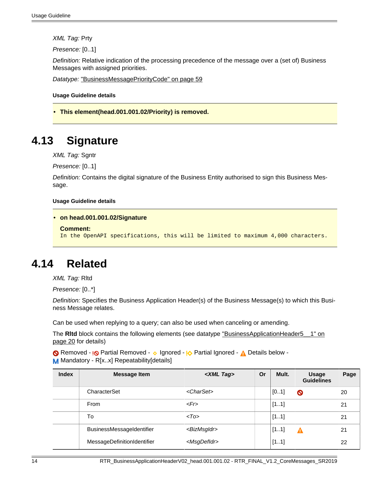XML Tag: Prty

Presence: [0..1]

Definition: Relative indication of the processing precedence of the message over a (set of) Business Messages with assigned priorities.

Datatype: ["BusinessMessagePriorityCode" on page 59](#page-58-3)

**Usage Guideline details**

<span id="page-13-0"></span>• **This element(head.001.001.02/Priority) is removed.**

## <span id="page-13-2"></span>**4.13 Signature**

XML Tag: Sgntr

Presence: [0..1]

Definition: Contains the digital signature of the Business Entity authorised to sign this Business Message.

#### **Usage Guideline details**

```
• on head.001.001.02/Signature
```

```
Comment:
```

```
In the OpenAPI specifications, this will be limited to maximum 4,000 characters.
```
### <span id="page-13-3"></span>**4.14 Related**

XML Tag: Rltd

Presence: [0..\*]

Definition: Specifies the Business Application Header(s) of the Business Message(s) to which this Business Message relates.

Can be used when replying to a query; can also be used when canceling or amending.

The **Ritd** block contains the following elements (see datatype "BusinessApplicationHeader5 1" on [page 20](#page-19-2) for details)

Removed - **I<sub></sub>O** Partial Removed - **v** Ignored - **I<sub>O</sub>** Partial Ignored - **A** Details below -M Mandatory - R[x..x] Repeatability[details]

| <b>Index</b> | <b>Message Item</b>              | <xml tag=""></xml>      | Or | Mult. | Usage<br><b>Guidelines</b> | Page |
|--------------|----------------------------------|-------------------------|----|-------|----------------------------|------|
|              | CharacterSet                     | <charset></charset>     |    | [01]  | $\boldsymbol{\circ}$       | 20   |
|              | From                             | $<$ Fr>                 |    | [11]  |                            | 21   |
|              | To                               | $<$ To $>$              |    | [11]  |                            | 21   |
|              | <b>BusinessMessageIdentifier</b> | <bizmsgldr></bizmsgldr> |    | [11]  | Α                          | 21   |
|              | MessageDefinitionIdentifier      | <msgdefidr></msgdefidr> |    | [11]  |                            | 22   |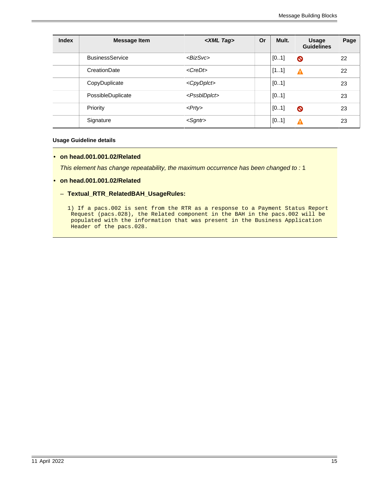| <b>Index</b> | <b>Message Item</b>    | <xml tag=""></xml>        | Or | Mult. | <b>Usage</b><br><b>Guidelines</b> | Page |
|--------------|------------------------|---------------------------|----|-------|-----------------------------------|------|
|              | <b>BusinessService</b> | $<$ BizSvc>               |    | [01]  | $\bullet$                         | 22   |
|              | CreationDate           | $<$ <i>CreDt</i> >        |    | [11]  | Δ                                 | 22   |
|              | CopyDuplicate          | <cpydplct></cpydplct>     |    | [01]  |                                   | 23   |
|              | PossibleDuplicate      | <pssbldplct></pssbldplct> |    | [01]  |                                   | 23   |
|              | Priority               | $<$ Prty>                 |    | [01]  | $\bullet$                         | 23   |
|              | Signature              | $<$ Sgntr $>$             |    | [01]  | Α                                 | 23   |

#### **Usage Guideline details**

#### <span id="page-14-0"></span>• **on head.001.001.02/Related**

This element has change repeatability, the maximum occurrence has been changed to : 1

- <span id="page-14-1"></span>• **on head.001.001.02/Related**
	- **Textual\_RTR\_RelatedBAH\_UsageRules:**
		- 1) If a pacs.002 is sent from the RTR as a response to a Payment Status Report Request (pacs.028), the Related component in the BAH in the pacs.002 will be populated with the information that was present in the Business Application Header of the pacs.028.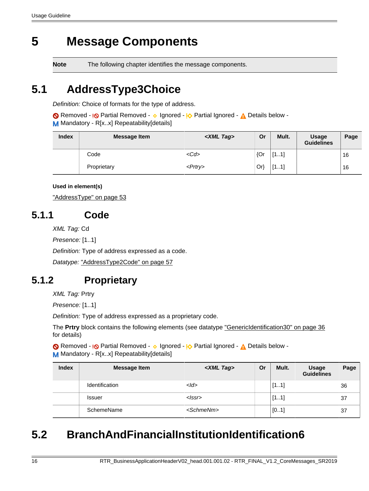# <span id="page-15-0"></span>**5 Message Components**

**Note** The following chapter identifies the message components.

# <span id="page-15-4"></span>**5.1 AddressType3Choice**

Definition: Choice of formats for the type of address.

Removed - <sub>!</sub>© Partial Removed - 
o Ignored - <u>I</u> $\Diamond$  Partial Ignored - 
<u>A</u> Details below -M Mandatory - R[x.x] Repeatability[details]

| <b>Index</b> | <b>Message Item</b> | <xml tag=""></xml> | Or     | Mult. | <b>Usage</b><br><b>Guidelines</b> | Page |
|--------------|---------------------|--------------------|--------|-------|-----------------------------------|------|
|              | Code                | $<$ Cd>            | ${Qr}$ | [11]  |                                   | 16   |
|              | Proprietary         | <prtry></prtry>    | $Or\}$ | [11]  |                                   | 16   |

### **Used in element(s)**

["AddressType" on page 53](#page-52-0)

### <span id="page-15-1"></span>**5.1.1 Code**

XML Tag: Cd

Presence: [1..1]

Definition: Type of address expressed as a code.

Datatype: ["AddressType2Code" on page 57](#page-56-1)

## <span id="page-15-2"></span>**5.1.2 Proprietary**

XML Tag: Prtry

Presence: [1..1]

Definition: Type of address expressed as a proprietary code.

The **Prtry** block contains the following elements (see datatype ["GenericIdentification30" on page 36](#page-35-0) for details)

Removed - <sub>!</sub>© Partial Removed - 
o Ignored - <u>I</u> $\Diamond$  Partial Ignored - 
<u>A</u> Details below -M Mandatory - R[x..x] Repeatability[details]

| <b>Index</b> | <b>Message Item</b>   | <xml tag=""></xml>  | Or | Mult. | <b>Usage</b><br><b>Guidelines</b> | Page |
|--------------|-----------------------|---------------------|----|-------|-----------------------------------|------|
|              | <b>Identification</b> | $<$ <i>Id</i> >     |    | [11]  |                                   | 36   |
|              | <b>Issuer</b>         | <lssr></lssr>       |    | [11]  |                                   | 37   |
|              | SchemeName            | <schmenm></schmenm> |    | [01]  |                                   | 37   |

# <span id="page-15-3"></span>**5.2 BranchAndFinancialInstitutionIdentification6**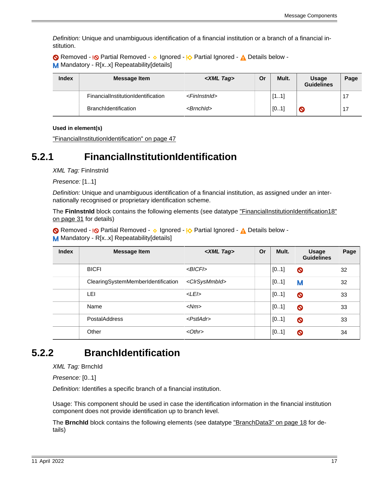Definition: Unique and unambiguous identification of a financial institution or a branch of a financial institution.

Removed - <sub>!</sub>© Partial Removed - 
o Ignored - <u>I</u> $\Diamond$  Partial Ignored - 
<u>A</u> Details below -M Mandatory - R[x..x] Repeatability[details]

| <b>Index</b> | Message Item                       | <xml tag=""></xml>        | Or | Mult. | <b>Usage</b><br><b>Guidelines</b> | Page |
|--------------|------------------------------------|---------------------------|----|-------|-----------------------------------|------|
|              | FinancialInstitutionIdentification | <fininstnid></fininstnid> |    | [11]  |                                   |      |
|              | <b>BranchIdentification</b>        | $\le$ Brnchld $>$         |    | [01]  | $\bullet$                         |      |

**Used in element(s)**

["FinancialInstitutionIdentification" on page 47](#page-46-0)

### <span id="page-16-0"></span>**5.2.1 FinancialInstitutionIdentification**

XML Tag: FinInstnId

Presence: [1..1]

Definition: Unique and unambiguous identification of a financial institution, as assigned under an internationally recognised or proprietary identification scheme.

The **FinInstnId** block contains the following elements (see datatype ["FinancialInstitutionIdentification18"](#page-30-0) [on page 31](#page-30-0) for details)

Removed - <sub>I</sub>O Partial Removed - o Ignored - IO Partial Ignored - A Details below -M Mandatory - R[x..x] Repeatability[details]

| <b>Index</b> | <b>Message Item</b>                | <xml tag=""></xml>          | <b>Or</b> | Mult. | <b>Usage</b><br><b>Guidelines</b> | Page |
|--------------|------------------------------------|-----------------------------|-----------|-------|-----------------------------------|------|
|              | <b>BICFI</b>                       | $<$ BICFI $>$               |           | [01]  | $\bullet$                         | 32   |
|              | ClearingSystemMemberIdentification | <clrsysmmbld></clrsysmmbld> |           | [01]  | M                                 | 32   |
|              | LEI                                | $<$ LEI $>$                 |           | [01]  | $\bullet$                         | 33   |
|              | Name                               | $<$ Nm $>$                  |           | [01]  | $\bullet$                         | 33   |
|              | <b>PostalAddress</b>               | $<$ PstlAdr $>$             |           | [01]  | $\bullet$                         | 33   |
|              | Other                              | $< 0$ thr $>$               |           | [01]  | $\bullet$                         | 34   |

### <span id="page-16-1"></span>**5.2.2 BranchIdentification**

XML Tag: BrnchId

Presence: [0..1]

Definition: Identifies a specific branch of a financial institution.

Usage: This component should be used in case the identification information in the financial institution component does not provide identification up to branch level.

The **BrnchId** block contains the following elements (see datatype ["BranchData3" on page 18](#page-17-4) for details)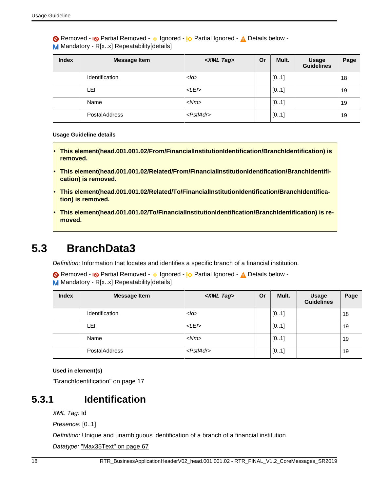Removed - <sub>!</sub>© Partial Removed - 
o Ignored - <sup>1</sup>

<sub>2</sub> Partial Ignored - 
<sub>1</sub>

<sub>2</sub> Details below -M Mandatory - R[x..x] Repeatability[details]

| <b>Index</b> | <b>Message Item</b>   | <xml tag=""></xml> | <b>Or</b> | Mult. | <b>Usage</b><br><b>Guidelines</b> | Page |
|--------------|-----------------------|--------------------|-----------|-------|-----------------------------------|------|
|              | <b>Identification</b> | $<$ <i>Id</i> >    |           | [01]  |                                   | 18   |
|              | LEI                   | $<$ LEI $>$        |           | [01]  |                                   | 19   |
|              | Name                  | $<$ Nm $>$         |           | [01]  |                                   | 19   |
|              | <b>PostalAddress</b>  | $<$ PstlAdr $>$    |           | [01]  |                                   | 19   |

#### **Usage Guideline details**

- <span id="page-17-0"></span>• **This element(head.001.001.02/From/FinancialInstitutionIdentification/BranchIdentification) is removed.**
- <span id="page-17-1"></span>• **This element(head.001.001.02/Related/From/FinancialInstitutionIdentification/BranchIdentification) is removed.**
- <span id="page-17-2"></span>• **This element(head.001.001.02/Related/To/FinancialInstitutionIdentification/BranchIdentification) is removed.**
- <span id="page-17-3"></span>• **This element(head.001.001.02/To/FinancialInstitutionIdentification/BranchIdentification) is removed.**

## <span id="page-17-4"></span>**5.3 BranchData3**

Definition: Information that locates and identifies a specific branch of a financial institution.

Removed - <sub>!</sub>© Partial Removed - 
o Ignored - <u>I</u> $\Diamond$  Partial Ignored - 
<u>A</u> Details below -M Mandatory - R[x.x] Repeatability[details]

| <b>Index</b> | <b>Message Item</b>   | <xml tag=""></xml>  | Or | Mult. | <b>Usage</b><br><b>Guidelines</b> | Page |
|--------------|-----------------------|---------------------|----|-------|-----------------------------------|------|
|              | <b>Identification</b> | $<$ Id $>$          |    | [01]  |                                   | 18   |
|              | LEI                   | $<$ LEI $>$         |    | [01]  |                                   | 19   |
|              | Name                  | $<$ Nm $>$          |    | [01]  |                                   | 19   |
|              | <b>PostalAddress</b>  | $<$ Pstl $Ad$ r $>$ |    | [01]  |                                   | 19   |

#### **Used in element(s)**

["BranchIdentification" on page 17](#page-16-1)

### <span id="page-17-5"></span>**5.3.1 Identification**

XML Tag: Id

Presence: [0..1]

Definition: Unique and unambiguous identification of a branch of a financial institution.

Datatype: ["Max35Text" on page 67](#page-66-0)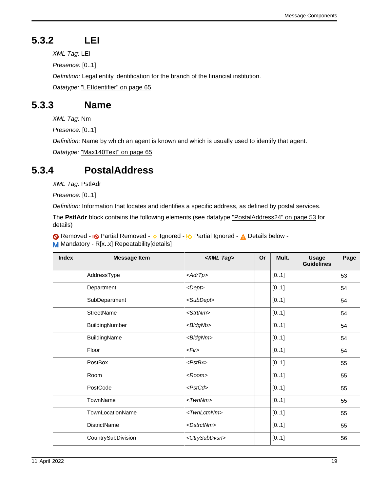# <span id="page-18-0"></span>**5.3.2 LEI**

XML Tag: LEI

Presence: [0..1]

Definition: Legal entity identification for the branch of the financial institution.

Datatype: ["LEIIdentifier" on page 65](#page-64-1)

### <span id="page-18-1"></span>**5.3.3 Name**

XML Tag: Nm

Presence: [0..1]

Definition: Name by which an agent is known and which is usually used to identify that agent.

Datatype: ["Max140Text" on page 65](#page-64-2)

### <span id="page-18-2"></span>**5.3.4 PostalAddress**

XML Tag: PstlAdr

Presence: [0..1]

Definition: Information that locates and identifies a specific address, as defined by postal services.

The **PstlAdr** block contains the following elements (see datatype ["PostalAddress24" on page 53](#page-52-1) for details)

Removed - <sub>!</sub>© Partial Removed - 
o Ignored - <sub>!</sub>O Partial Ignored - 
<sub>A</sub> Details below -M Mandatory - R[x.x] Repeatability[details]

| <b>Index</b> | <b>Message Item</b> | <xml tag=""></xml>          | Or | Mult. | <b>Usage</b><br><b>Guidelines</b> | Page |
|--------------|---------------------|-----------------------------|----|-------|-----------------------------------|------|
|              | AddressType         | $\langle A drT p \rangle$   |    | [01]  |                                   | 53   |
|              | Department          | <dept></dept>               |    | [01]  |                                   | 54   |
|              | SubDepartment       | <subdept></subdept>         |    | [01]  |                                   | 54   |
|              | <b>StreetName</b>   | <strtnm></strtnm>           |    | [01]  |                                   | 54   |
|              | BuildingNumber      | <bldgnb></bldgnb>           |    | [01]  |                                   | 54   |
|              | BuildingName        | <bldgnm></bldgnm>           |    | [01]  |                                   | 54   |
|              | Floor               | F                           |    | [01]  |                                   | 54   |
|              | PostBox             | $<$ PstBx $>$               |    | [01]  |                                   | 55   |
|              | Room                | $<$ Room $>$                |    | [01]  |                                   | 55   |
|              | PostCode            | <pstcd></pstcd>             |    | [01]  |                                   | 55   |
|              | TownName            | $<$ Twn $N$ m $>$           |    | [01]  |                                   | 55   |
|              | TownLocationName    | <twnlctnnm></twnlctnnm>     |    | [01]  |                                   | 55   |
|              | <b>DistrictName</b> | <dstrctnm></dstrctnm>       |    | [01]  |                                   | 55   |
|              | CountrySubDivision  | <ctrysubdvsn></ctrysubdvsn> |    | [01]  |                                   | 56   |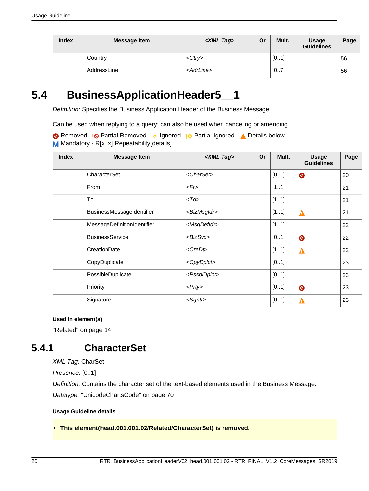| <b>Index</b> | <b>Message Item</b> | <xml tag=""></xml>  | Or | Mult. | Usage<br><b>Guidelines</b> | Page |
|--------------|---------------------|---------------------|----|-------|----------------------------|------|
|              | Country             | $<$ Ctr $v>$        |    | [01]  |                            | 56   |
|              | AddressLine         | <adrline></adrline> |    | [07]  |                            | 56   |

# <span id="page-19-2"></span>**5.4 BusinessApplicationHeader5\_\_1**

Definition: Specifies the Business Application Header of the Business Message.

Can be used when replying to a query; can also be used when canceling or amending.

Removed - **I<sub></sub>O** Partial Removed - **v** Ignored - **I<sub>O</sub>** Partial Ignored - **A** Details below -M Mandatory - R[x..x] Repeatability[details]

| <b>Index</b> | <b>Message Item</b>         | <xml tag=""></xml>        | <b>Or</b> | Mult. | <b>Usage</b><br><b>Guidelines</b> | Page |
|--------------|-----------------------------|---------------------------|-----------|-------|-----------------------------------|------|
|              | CharacterSet                | <charset></charset>       |           | [01]  | $\bullet$                         | 20   |
|              | From                        | $\epsilon$ Fr $>$         |           | [11]  |                                   | 21   |
|              | To                          | $<$ To>                   |           | [11]  |                                   | 21   |
|              | BusinessMessageIdentifier   | <bizmsgidr></bizmsgidr>   |           | [11]  | $\blacktriangle$                  | 21   |
|              | MessageDefinitionIdentifier | <msgdefidr></msgdefidr>   |           | [11]  |                                   | 22   |
|              | <b>BusinessService</b>      | $<$ Biz $S$ vc $>$        |           | [01]  | $\bullet$                         | 22   |
|              | CreationDate                | <credt></credt>           |           | [11]  | Δ                                 | 22   |
|              | CopyDuplicate               | <cpydplct></cpydplct>     |           | [01]  |                                   | 23   |
|              | PossibleDuplicate           | <pssbldplct></pssbldplct> |           | [01]  |                                   | 23   |
|              | Priority                    | $<$ Prty>                 |           | [01]  | $\bullet$                         | 23   |
|              | Signature                   | <sgntr></sgntr>           |           | [01]  | ▲                                 | 23   |

**Used in element(s)**

["Related" on page 14](#page-13-3)

### <span id="page-19-1"></span>**5.4.1 CharacterSet**

XML Tag: CharSet

Presence: [0..1]

Definition: Contains the character set of the text-based elements used in the Business Message.

Datatype: ["UnicodeChartsCode" on page 70](#page-69-0)

### **Usage Guideline details**

<span id="page-19-0"></span>• **This element(head.001.001.02/Related/CharacterSet) is removed.**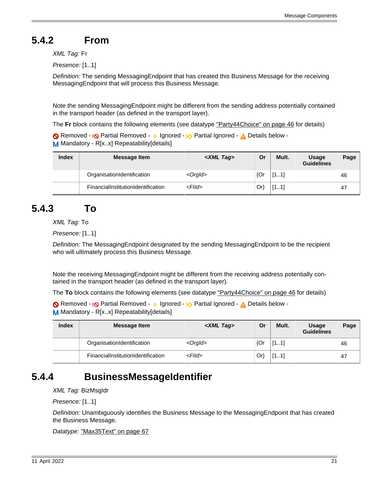# <span id="page-20-0"></span>**5.4.2 From**

XML Tag: Fr

Presence: [1..1]

Definition: The sending MessagingEndpoint that has created this Business Message for the receiving MessagingEndpoint that will process this Business Message.

Note the sending MessagingEndpoint might be different from the sending address potentially contained in the transport header (as defined in the transport layer).

The **Fr** block contains the following elements (see datatype ["Party44Choice" on page 46](#page-45-5) for details)

Removed - <sub>!</sub>© Partial Removed - 
o Ignored - <u>I</u> $\Diamond$  Partial Ignored - 
<u>A</u> Details below -M Mandatory - R[x..x] Repeatability[details]

| <b>Index</b> | <b>Message Item</b>                | <xml tag=""></xml> | Or     | Mult. | <b>Usage</b><br><b>Guidelines</b> | Page |
|--------------|------------------------------------|--------------------|--------|-------|-----------------------------------|------|
|              | OrganisationIdentification         | $<$ Orgld $>$      | ${Qr}$ | [11]  |                                   | 46   |
|              | FinancialInstitutionIdentification | $<$ Flld $>$       | Or)    | [11]  |                                   | 47   |

## <span id="page-20-1"></span>**5.4.3 To**

XML Tag: To

Presence: [1..1]

Definition: The MessagingEndpoint designated by the sending MessagingEndpoint to be the recipient who will ultimately process this Business Message.

Note the receiving MessagingEndpoint might be different from the receiving address potentially contained in the transport header (as defined in the transport layer).

The **To** block contains the following elements (see datatype ["Party44Choice" on page 46](#page-45-5) for details)

Removed - <sub>!</sub>© Partial Removed - 
o Ignored - <sup>1</sup>

<sub>2</sub> Partial Ignored - 
<sub>1</sub>

<sub>2</sub> Details below -M Mandatory - R[x..x] Repeatability[details]

| <b>Index</b> | Message Item                       | <xml tag=""></xml> | Or  | Mult. | <b>Usage</b><br><b>Guidelines</b> | Page |
|--------------|------------------------------------|--------------------|-----|-------|-----------------------------------|------|
|              | OrganisationIdentification         | <orgld></orgld>    | {Or | [11]  |                                   | 46   |
|              | FinancialInstitutionIdentification | $<$ Flld $>$       | Or) | [11]  |                                   | 47   |

### <span id="page-20-2"></span>**5.4.4 BusinessMessageIdentifier**

XML Tag: BizMsgIdr

Presence: [1..1]

Definition: Unambiguously identifies the Business Message to the MessagingEndpoint that has created the Business Message.

```
Datatype: "Max35Text" on page 67
```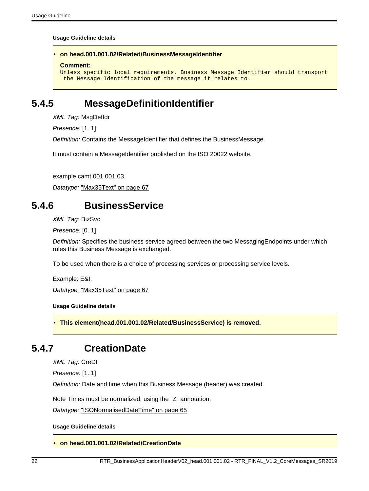#### **Usage Guideline details**

#### <span id="page-21-1"></span>• **on head.001.001.02/Related/BusinessMessageIdentifier**

#### **Comment:**

```
Unless specific local requirements, Business Message Identifier should transport
 the Message Identification of the message it relates to.
```
### <span id="page-21-3"></span>**5.4.5 MessageDefinitionIdentifier**

XML Tag: MsgDefIdr

Presence: [1..1]

Definition: Contains the MessageIdentifier that defines the BusinessMessage.

It must contain a MessageIdentifier published on the ISO 20022 website.

example camt.001.001.03.

Datatype: ["Max35Text" on page 67](#page-66-0)

### <span id="page-21-4"></span>**5.4.6 BusinessService**

XML Tag: BizSvc

Presence: [0..1]

Definition: Specifies the business service agreed between the two MessagingEndpoints under which rules this Business Message is exchanged.

To be used when there is a choice of processing services or processing service levels.

Example: E&I.

Datatype: ["Max35Text" on page 67](#page-66-0)

**Usage Guideline details**

<span id="page-21-0"></span>• **This element(head.001.001.02/Related/BusinessService) is removed.**

### <span id="page-21-5"></span>**5.4.7 CreationDate**

XML Tag: CreDt

Presence: [1..1]

Definition: Date and time when this Business Message (header) was created.

Note Times must be normalized, using the "Z" annotation.

Datatype: ["ISONormalisedDateTime" on page 65](#page-64-0)

#### **Usage Guideline details**

#### <span id="page-21-2"></span>• **on head.001.001.02/Related/CreationDate**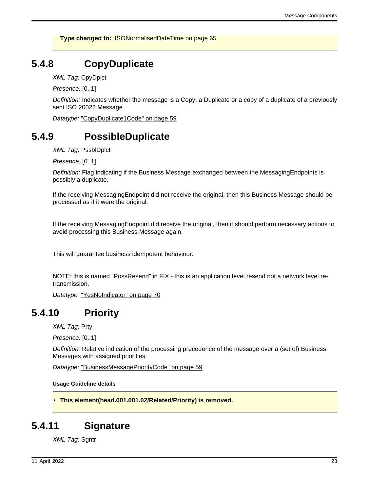**Type changed to:** [ISONormalisedDateTime on page 65](#page-64-0)

### <span id="page-22-1"></span>**5.4.8 CopyDuplicate**

XML Tag: CpyDplct

Presence: [0..1]

Definition: Indicates whether the message is a Copy, a Duplicate or a copy of a duplicate of a previously sent ISO 20022 Message.

Datatype: ["CopyDuplicate1Code" on page 59](#page-58-2)

### <span id="page-22-2"></span>**5.4.9 PossibleDuplicate**

XML Tag: PssblDplct

Presence: [0..1]

Definition: Flag indicating if the Business Message exchanged between the MessagingEndpoints is possibly a duplicate.

If the receiving MessagingEndpoint did not receive the original, then this Business Message should be processed as if it were the original.

If the receiving MessagingEndpoint did receive the original, then it should perform necessary actions to avoid processing this Business Message again.

This will guarantee business idempotent behaviour.

NOTE: this is named "PossResend" in FIX - this is an application level resend not a network level retransmission.

Datatype: ["YesNoIndicator" on page 70](#page-69-1)

### <span id="page-22-3"></span>**5.4.10 Priority**

XML Tag: Prty

Presence: [0..1]

Definition: Relative indication of the processing precedence of the message over a (set of) Business Messages with assigned priorities.

Datatype: ["BusinessMessagePriorityCode" on page 59](#page-58-3)

**Usage Guideline details**

<span id="page-22-0"></span>• **This element(head.001.001.02/Related/Priority) is removed.**

### <span id="page-22-4"></span>**5.4.11 Signature**

**XML Tag: Sgntr**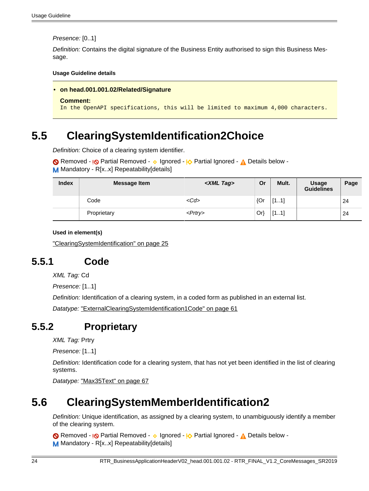Presence: [0..1]

Definition: Contains the digital signature of the Business Entity authorised to sign this Business Message.

**Usage Guideline details**

```
• on head.001.001.02/Related/Signature
```

```
Comment:
```
In the OpenAPI specifications, this will be limited to maximum 4,000 characters.

# <span id="page-23-3"></span>**5.5 ClearingSystemIdentification2Choice**

Definition: Choice of a clearing system identifier.

```
Removed - <sub>I</sub><sub>O</sub> Partial Removed - 

v Ignored - <u>I</u><sub>O</sub> Partial Ignored - 

A Details below -
M Mandatory - R[x..x] Repeatability[details]
```

| <b>Index</b> | <b>Message Item</b> | <xml tag=""></xml> | Or     | Mult. | <b>Usage</b><br><b>Guidelines</b> | Page |
|--------------|---------------------|--------------------|--------|-------|-----------------------------------|------|
|              | Code                | $<$ Cd>            | ${Qr}$ | [11]  |                                   | 24   |
|              | Proprietary         | $<$ Prtry $>$      | Or)    | [11]  |                                   | 24   |

### **Used in element(s)**

["ClearingSystemIdentification" on page 25](#page-24-4)

### <span id="page-23-1"></span>**5.5.1 Code**

XML Tag: Cd

Presence: [1..1]

Definition: Identification of a clearing system, in a coded form as published in an external list.

Datatype: ["ExternalClearingSystemIdentification1Code" on page 61](#page-60-0)

### <span id="page-23-2"></span>**5.5.2 Proprietary**

XML Tag: Prtry

Presence: [1..1]

Definition: Identification code for a clearing system, that has not yet been identified in the list of clearing systems.

Datatype: ["Max35Text" on page 67](#page-66-0)

# <span id="page-23-4"></span>**5.6 ClearingSystemMemberIdentification2**

Definition: Unique identification, as assigned by a clearing system, to unambiguously identify a member of the clearing system.

Removed - <sub>!</sub>© Partial Removed - 
o Ignored - <sup>1</sup>

<sub>2</sub> Partial Ignored - 
<sub>1</sub>

<sub>2</sub> Details below -M Mandatory - R[x.x] Repeatability[details]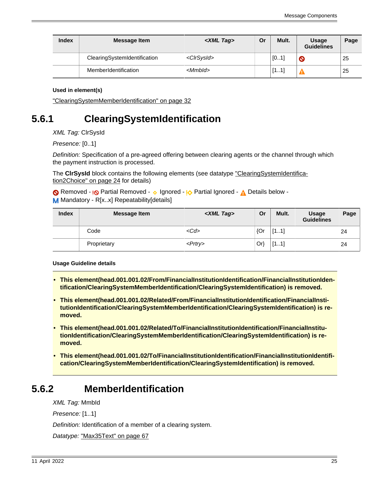| <b>Index</b> | <b>Message Item</b>          | <xml tag=""></xml>    | Or | Mult. | <b>Usage</b><br><b>Guidelines</b> | Page |
|--------------|------------------------------|-----------------------|----|-------|-----------------------------------|------|
|              | ClearingSystemIdentification | <clrsysid></clrsysid> |    | [01]  | $\bullet$                         | 25   |
|              | MemberIdentification         | $<$ Mmbld $>$         |    | [11]  |                                   | 25   |

["ClearingSystemMemberIdentification" on page 32](#page-31-8)

## <span id="page-24-4"></span>**5.6.1 ClearingSystemIdentification**

XML Tag: ClrSysId

Presence: [0..1]

Definition: Specification of a pre-agreed offering between clearing agents or the channel through which the payment instruction is processed.

The **ClrSysId** block contains the following elements (see datatype ["ClearingSystemIdentifica](#page-23-3)[tion2Choice" on page 24](#page-23-3) for details)

Removed - <sub>!</sub>© Partial Removed - 
o Ignored - <sub>!</sub>O Partial Ignored - 
<sub>A</sub> Details below -M Mandatory - R[x..x] Repeatability[details]

| <b>Index</b> | <b>Message Item</b> | <xml tag=""></xml> | Or  | Mult. | <b>Usage</b><br><b>Guidelines</b> | Page |
|--------------|---------------------|--------------------|-----|-------|-----------------------------------|------|
|              | Code                | $<$ Cd>            | {Or | [11]  |                                   | 24   |
|              | Proprietary         | $<$ Prtry $>$      | Or  | [11]  |                                   | 24   |

**Usage Guideline details**

- <span id="page-24-0"></span>• **This element(head.001.001.02/From/FinancialInstitutionIdentification/FinancialInstitutionIdentification/ClearingSystemMemberIdentification/ClearingSystemIdentification) is removed.**
- <span id="page-24-1"></span>• **This element(head.001.001.02/Related/From/FinancialInstitutionIdentification/FinancialInstitutionIdentification/ClearingSystemMemberIdentification/ClearingSystemIdentification) is removed.**
- <span id="page-24-2"></span>• **This element(head.001.001.02/Related/To/FinancialInstitutionIdentification/FinancialInstitutionIdentification/ClearingSystemMemberIdentification/ClearingSystemIdentification) is removed.**
- <span id="page-24-3"></span>• **This element(head.001.001.02/To/FinancialInstitutionIdentification/FinancialInstitutionIdentification/ClearingSystemMemberIdentification/ClearingSystemIdentification) is removed.**

### <span id="page-24-5"></span>**5.6.2 MemberIdentification**

XML Tag: MmbId

Presence: [1..1]

Definition: Identification of a member of a clearing system.

Datatype: ["Max35Text" on page 67](#page-66-0)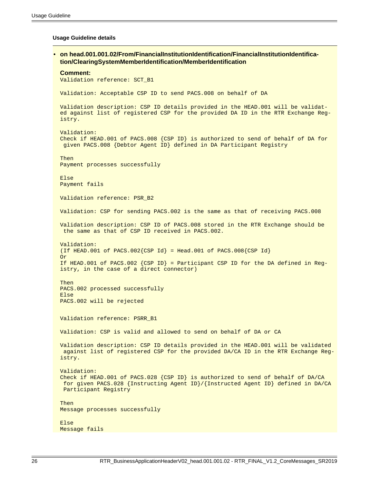#### **Usage Guideline details**

<span id="page-25-0"></span>• **on head.001.001.02/From/FinancialInstitutionIdentification/FinancialInstitutionIdentification/ClearingSystemMemberIdentification/MemberIdentification Comment:** Validation reference: SCT\_B1 Validation: Acceptable CSP ID to send PACS.008 on behalf of DA Validation description: CSP ID details provided in the HEAD.001 will be validated against list of registered CSP for the provided DA ID in the RTR Exchange Registry. Validation: Check if HEAD.001 of PACS.008 {CSP ID} is authorized to send of behalf of DA for given PACS.008 {Debtor Agent ID} defined in DA Participant Registry Then Payment processes successfully Else Payment fails Validation reference: PSR\_B2 Validation: CSP for sending PACS.002 is the same as that of receiving PACS.008 Validation description: CSP ID of PACS.008 stored in the RTR Exchange should be the same as that of CSP ID received in PACS.002. Validation: (If HEAD.001 of PACS.002{CSP Id} = Head.001 of PACS.008{CSP Id} Or If HEAD.001 of PACS.002 {CSP ID} = Participant CSP ID for the DA defined in Registry, in the case of a direct connector) Then PACS.002 processed successfully Else PACS.002 will be rejected Validation reference: PSRR\_B1 Validation: CSP is valid and allowed to send on behalf of DA or CA Validation description: CSP ID details provided in the HEAD.001 will be validated against list of registered CSP for the provided DA/CA ID in the RTR Exchange Registry. Validation: Check if HEAD.001 of PACS.028 {CSP ID} is authorized to send of behalf of DA/CA for given PACS.028 {Instructing Agent ID}/{Instructed Agent ID} defined in DA/CA Participant Registry Then Message processes successfully Else Message fails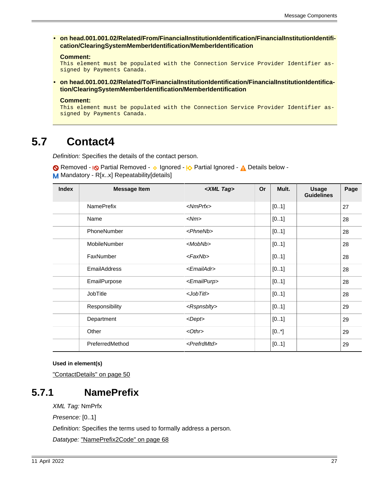<span id="page-26-0"></span>• **on head.001.001.02/Related/From/FinancialInstitutionIdentification/FinancialInstitutionIdentification/ClearingSystemMemberIdentification/MemberIdentification**

#### **Comment:**

This element must be populated with the Connection Service Provider Identifier assigned by Payments Canada.

<span id="page-26-1"></span>• **on head.001.001.02/Related/To/FinancialInstitutionIdentification/FinancialInstitutionIdentification/ClearingSystemMemberIdentification/MemberIdentification**

#### **Comment:**

This element must be populated with the Connection Service Provider Identifier assigned by Payments Canada.

## <span id="page-26-3"></span>**5.7 Contact4**

Definition: Specifies the details of the contact person.

Removed - <sub>!</sub>© Partial Removed - 
o Ignored - <sup>1</sup>

<sub>2</sub> Partial Ignored - 
<sub>1</sub>

<sub>2</sub> Details below -M Mandatory - R[x..x] Repeatability[details]

| <b>Index</b> | <b>Message Item</b> | <xml tag=""></xml>      | <b>Or</b> | Mult. | <b>Usage</b><br><b>Guidelines</b> | Page |
|--------------|---------------------|-------------------------|-----------|-------|-----------------------------------|------|
|              | <b>NamePrefix</b>   | $<$ NmPrfx $>$          |           | [01]  |                                   | 27   |
|              | Name                | $<$ Nm $>$              |           | [01]  |                                   | 28   |
|              | PhoneNumber         | $<$ Phne $Nb$ >         |           | [01]  |                                   | 28   |
|              | MobileNumber        | $<$ MobNb>              |           | [01]  |                                   | 28   |
|              | FaxNumber           | $<$ Fax $Nb$ >          |           | [01]  |                                   | 28   |
|              | <b>EmailAddress</b> | <emailadr></emailadr>   |           | [01]  |                                   | 28   |
|              | EmailPurpose        | <emailpurp></emailpurp> |           | [01]  |                                   | 28   |
|              | <b>JobTitle</b>     | $<$ JobTitl>            |           | [01]  |                                   | 28   |
|              | Responsibility      | <rspnsblty></rspnsblty> |           | [01]  |                                   | 29   |
|              | Department          | <dept></dept>           |           | [01]  |                                   | 29   |
|              | Other               | $< 0$ thr $>$           |           | [0.1] |                                   | 29   |
|              | PreferredMethod     | <prefrdmtd></prefrdmtd> |           | [01]  |                                   | 29   |

#### **Used in element(s)**

["ContactDetails" on page 50](#page-49-4)

### <span id="page-26-2"></span>**5.7.1 NamePrefix**

XML Tag: NmPrfx

Presence: [0..1]

Definition: Specifies the terms used to formally address a person.

Datatype: ["NamePrefix2Code" on page 68](#page-67-0)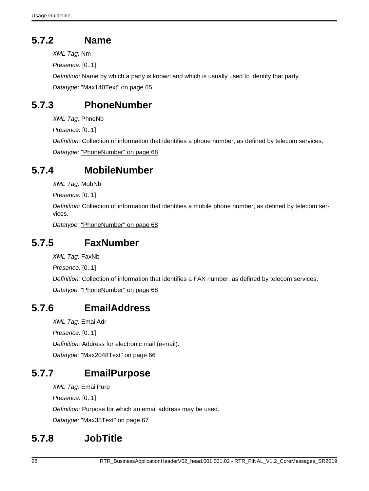# <span id="page-27-0"></span>**5.7.2 Name**

XML Tag: Nm

Presence: [0..1]

Definition: Name by which a party is known and which is usually used to identify that party. Datatype: ["Max140Text" on page 65](#page-64-2)

## <span id="page-27-1"></span>**5.7.3 PhoneNumber**

XML Tag: PhneNb

Presence: [0..1]

Definition: Collection of information that identifies a phone number, as defined by telecom services. Datatype: ["PhoneNumber" on page 68](#page-67-1)

## <span id="page-27-2"></span>**5.7.4 MobileNumber**

XML Tag: MobNb

Presence: [0..1]

Definition: Collection of information that identifies a mobile phone number, as defined by telecom services.

Datatype: ["PhoneNumber" on page 68](#page-67-1)

## <span id="page-27-3"></span>**5.7.5 FaxNumber**

XML Tag: FaxNb

Presence: [0..1]

Definition: Collection of information that identifies a FAX number, as defined by telecom services.

Datatype: ["PhoneNumber" on page 68](#page-67-1)

### <span id="page-27-4"></span>**5.7.6 EmailAddress**

XML Tag: EmailAdr

Presence: [0..1]

Definition: Address for electronic mail (e-mail).

Datatype: ["Max2048Text" on page 66](#page-65-0)

# <span id="page-27-5"></span>**5.7.7 EmailPurpose**

XML Tag: EmailPurp

Presence: [0..1]

Definition: Purpose for which an email address may be used.

Datatype: ["Max35Text" on page 67](#page-66-0)

# <span id="page-27-6"></span>**5.7.8 JobTitle**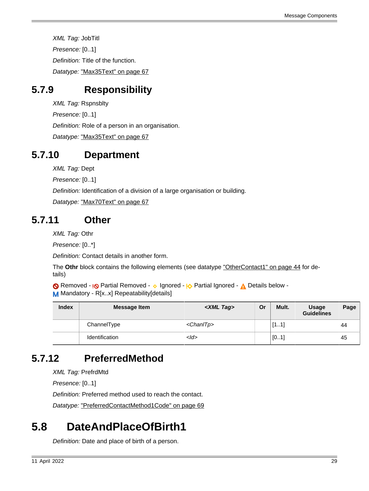XML Tag: JobTitl Presence: [0..1] Definition: Title of the function. Datatype: ["Max35Text" on page 67](#page-66-0)

# <span id="page-28-0"></span>**5.7.9 Responsibility**

XML Tag: Rspnsblty Presence: [0..1] Definition: Role of a person in an organisation. Datatype: ["Max35Text" on page 67](#page-66-0)

## <span id="page-28-1"></span>**5.7.10 Department**

XML Tag: Dept

Presence: [0..1]

Definition: Identification of a division of a large organisation or building.

Datatype: ["Max70Text" on page 67](#page-66-1)

## <span id="page-28-2"></span>**5.7.11 Other**

XML Tag: Othr

Presence: [0..\*]

Definition: Contact details in another form.

The **Othr** block contains the following elements (see datatype ["OtherContact1" on page 44](#page-43-0) for details)

Removed - <sub>!</sub>© Partial Removed - 
o Ignored - <sup>1</sup>

<sub>2</sub> Partial Ignored - 
<sub>1</sub>

<sub>2</sub> Details below -M Mandatory - R[x.x] Repeatability[details]

| <b>Index</b> | <b>Message Item</b>   | <xml tag=""></xml> | Or | Mult. | <b>Usage</b><br><b>Guidelines</b> | Page |
|--------------|-----------------------|--------------------|----|-------|-----------------------------------|------|
|              | ChannelType           | $<$ Chan $ Tp $    |    | [11]  |                                   | 44   |
|              | <b>Identification</b> | $<$ ld>            |    | [01]  |                                   | 45   |

# <span id="page-28-3"></span>**5.7.12 PreferredMethod**

XML Tag: PrefrdMtd

Presence: [0..1]

Definition: Preferred method used to reach the contact.

Datatype: ["PreferredContactMethod1Code" on page 69](#page-68-0)

# <span id="page-28-4"></span>**5.8 DateAndPlaceOfBirth1**

Definition: Date and place of birth of a person.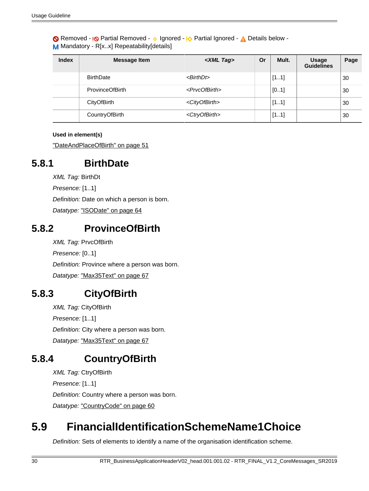Removed - <sub>!</sub>© Partial Removed - 
o Ignored - <sup>1</sup>

<sub>2</sub> Partial Ignored - 
<sub>1</sub>

<sub>2</sub> Details below -M Mandatory - R[x..x] Repeatability[details]

| <b>Index</b> | <b>Message Item</b>    | <xml tag=""></xml>          | Or | Mult. | <b>Usage</b><br><b>Guidelines</b> | Page |
|--------------|------------------------|-----------------------------|----|-------|-----------------------------------|------|
|              | <b>BirthDate</b>       | $\leq$ BirthDt $>$          |    | [11]  |                                   | 30   |
|              | <b>ProvinceOfBirth</b> | <prvcofbirth></prvcofbirth> |    | [01]  |                                   | 30   |
|              | CityOfBirth            | <cityofbirth></cityofbirth> |    | [11]  |                                   | 30   |
|              | CountryOfBirth         | <ctryofbirth></ctryofbirth> |    | [11]  |                                   | 30   |

### **Used in element(s)**

["DateAndPlaceOfBirth" on page 51](#page-50-4)

### <span id="page-29-0"></span>**5.8.1 BirthDate**

XML Tag: BirthDt

Presence: [1..1]

Definition: Date on which a person is born.

Datatype: ["ISODate" on page 64](#page-63-1)

### <span id="page-29-1"></span>**5.8.2 ProvinceOfBirth**

XML Tag: PrvcOfBirth Presence: [0..1] Definition: Province where a person was born. Datatype: ["Max35Text" on page 67](#page-66-0)

## <span id="page-29-2"></span>**5.8.3 CityOfBirth**

XML Tag: CityOfBirth Presence: [1..1] Definition: City where a person was born. Datatype: ["Max35Text" on page 67](#page-66-0)

## <span id="page-29-3"></span>**5.8.4 CountryOfBirth**

XML Tag: CtryOfBirth Presence: [1..1] Definition: Country where a person was born. Datatype: ["CountryCode" on page 60](#page-59-0)

# <span id="page-29-4"></span>**5.9 FinancialIdentificationSchemeName1Choice**

Definition: Sets of elements to identify a name of the organisation identification scheme.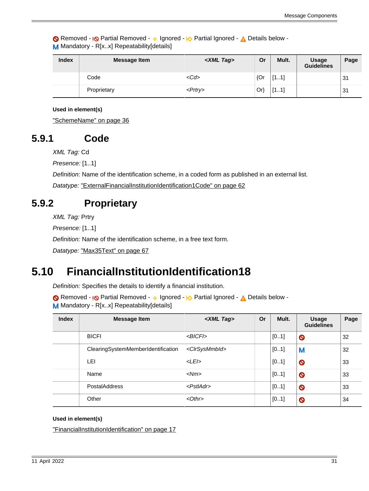Removed - <sub>!</sub>© Partial Removed - 
o Ignored - <sup>1</sup>

<sub>2</sub> Partial Ignored - 
<sub>1</sub>

<sub>2</sub> Details below -M Mandatory - R[x.x] Repeatability[details]

| <b>Index</b> | <b>Message Item</b> | <xml tag=""></xml> | Or     | Mult. | <b>Usage</b><br><b>Guidelines</b> | Page           |
|--------------|---------------------|--------------------|--------|-------|-----------------------------------|----------------|
|              | Code                | $<$ Cd>            | ${Or}$ | [11]  |                                   | 3 <sup>1</sup> |
|              | Proprietary         | $<$ Prtry>         | Or)    | [11]  |                                   | 31             |

#### **Used in element(s)**

["SchemeName" on page 36](#page-35-2)

### <span id="page-30-1"></span>**5.9.1 Code**

XML Tag: Cd

Presence: [1..1]

Definition: Name of the identification scheme, in a coded form as published in an external list.

Datatype: ["ExternalFinancialInstitutionIdentification1Code" on page 62](#page-61-0)

### <span id="page-30-2"></span>**5.9.2 Proprietary**

XML Tag: Prtry

Presence: [1..1]

Definition: Name of the identification scheme, in a free text form.

Datatype: ["Max35Text" on page 67](#page-66-0)

## <span id="page-30-0"></span>**5.10 FinancialInstitutionIdentification18**

Definition: Specifies the details to identify a financial institution.

Removed - **I<sub></sub>O** Partial Removed - **v** Ignored - **I<sub>O</sub>** Partial Ignored - **A** Details below -M Mandatory - R[x..x] Repeatability[details]

| <b>Index</b> | <b>Message Item</b>                | <xml tag=""></xml>          | Or | Mult. | <b>Usage</b><br><b>Guidelines</b> | Page |
|--------------|------------------------------------|-----------------------------|----|-------|-----------------------------------|------|
|              | <b>BICFI</b>                       | $<$ BICFI $>$               |    | [01]  | $\bullet$                         | 32   |
|              | ClearingSystemMemberIdentification | <clrsysmmbld></clrsysmmbld> |    | [01]  | M                                 | 32   |
|              | LEI                                | $<$ LEI $>$                 |    | [01]  | $\bullet$                         | 33   |
|              | Name                               | $<$ Nm $>$                  |    | [01]  | $\bullet$                         | 33   |
|              | <b>PostalAddress</b>               | $<$ Pstl $Adr$ >            |    | [01]  | $\bullet$                         | 33   |
|              | Other                              | $< 0$ thr $>$               |    | [01]  | $\bullet$                         | 34   |

#### **Used in element(s)**

["FinancialInstitutionIdentification" on page 17](#page-16-0)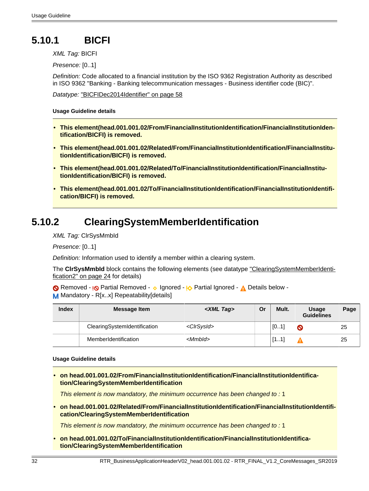# <span id="page-31-7"></span>**5.10.1 BICFI**

XML Tag: BICFI

Presence: [0..1]

Definition: Code allocated to a financial institution by the ISO 9362 Registration Authority as described in ISO 9362 "Banking - Banking telecommunication messages - Business identifier code (BIC)".

Datatype: ["BICFIDec2014Identifier" on page 58](#page-57-0)

#### **Usage Guideline details**

- <span id="page-31-0"></span>• **This element(head.001.001.02/From/FinancialInstitutionIdentification/FinancialInstitutionIdentification/BICFI) is removed.**
- <span id="page-31-1"></span>• **This element(head.001.001.02/Related/From/FinancialInstitutionIdentification/FinancialInstitutionIdentification/BICFI) is removed.**
- <span id="page-31-2"></span>• **This element(head.001.001.02/Related/To/FinancialInstitutionIdentification/FinancialInstitutionIdentification/BICFI) is removed.**
- <span id="page-31-3"></span>• **This element(head.001.001.02/To/FinancialInstitutionIdentification/FinancialInstitutionIdentification/BICFI) is removed.**

### <span id="page-31-8"></span>**5.10.2 ClearingSystemMemberIdentification**

XML Tag: ClrSysMmbId

Presence: [0..1]

Definition: Information used to identify a member within a clearing system.

The CIrSysMmbId block contains the following elements (see datatype ["ClearingSystemMemberIdenti](#page-23-4)[fication2" on page 24](#page-23-4) for details)

Removed - <sub>!</sub>© Partial Removed - 
o Ignored - <u>I</u> $\Diamond$  Partial Ignored - 
<u>A</u> Details below -M Mandatory - R[x..x] Repeatability[details]

| <b>Index</b> | <b>Message Item</b>          | <xml tag=""></xml>    | Or | Mult. | <b>Usage</b><br><b>Guidelines</b> | Page |
|--------------|------------------------------|-----------------------|----|-------|-----------------------------------|------|
|              | ClearingSystemIdentification | <clrsysid></clrsysid> |    | [01]  | $\bullet$                         | 25   |
|              | MemberIdentification         | $<$ MmbId $>$         |    | [11]  |                                   | 25   |

#### **Usage Guideline details**

<span id="page-31-4"></span>• **on head.001.001.02/From/FinancialInstitutionIdentification/FinancialInstitutionIdentification/ClearingSystemMemberIdentification**

This element is now mandatory, the minimum occurrence has been changed to : 1

<span id="page-31-5"></span>• **on head.001.001.02/Related/From/FinancialInstitutionIdentification/FinancialInstitutionIdentification/ClearingSystemMemberIdentification**

This element is now mandatory, the minimum occurrence has been changed to : 1

<span id="page-31-6"></span>• **on head.001.001.02/To/FinancialInstitutionIdentification/FinancialInstitutionIdentification/ClearingSystemMemberIdentification**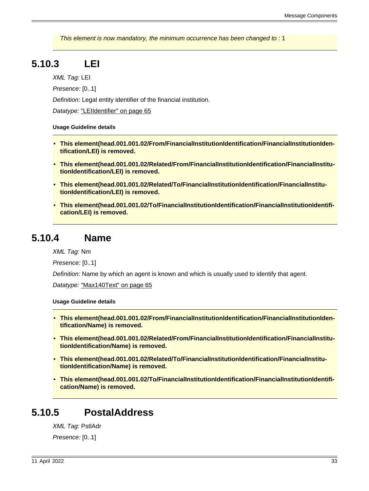This element is now mandatory, the minimum occurrence has been changed to : 1

# <span id="page-32-8"></span>**5.10.3 LEI**

XML Tag: LEI

Presence: [0..1]

Definition: Legal entity identifier of the financial institution.

Datatype: ["LEIIdentifier" on page 65](#page-64-1)

#### **Usage Guideline details**

- <span id="page-32-0"></span>• **This element(head.001.001.02/From/FinancialInstitutionIdentification/FinancialInstitutionIdentification/LEI) is removed.**
- <span id="page-32-1"></span>• **This element(head.001.001.02/Related/From/FinancialInstitutionIdentification/FinancialInstitutionIdentification/LEI) is removed.**
- <span id="page-32-2"></span>• **This element(head.001.001.02/Related/To/FinancialInstitutionIdentification/FinancialInstitutionIdentification/LEI) is removed.**
- <span id="page-32-3"></span>• **This element(head.001.001.02/To/FinancialInstitutionIdentification/FinancialInstitutionIdentification/LEI) is removed.**

### <span id="page-32-9"></span>**5.10.4 Name**

XML Tag: Nm

Presence: [0..1]

Definition: Name by which an agent is known and which is usually used to identify that agent.

Datatype: ["Max140Text" on page 65](#page-64-2)

#### **Usage Guideline details**

- <span id="page-32-4"></span>• **This element(head.001.001.02/From/FinancialInstitutionIdentification/FinancialInstitutionIdentification/Name) is removed.**
- <span id="page-32-5"></span>• **This element(head.001.001.02/Related/From/FinancialInstitutionIdentification/FinancialInstitutionIdentification/Name) is removed.**
- <span id="page-32-6"></span>• **This element(head.001.001.02/Related/To/FinancialInstitutionIdentification/FinancialInstitutionIdentification/Name) is removed.**
- <span id="page-32-7"></span>• **This element(head.001.001.02/To/FinancialInstitutionIdentification/FinancialInstitutionIdentification/Name) is removed.**

### <span id="page-32-10"></span>**5.10.5 PostalAddress**

XML Tag: PstlAdr Presence: [0..1]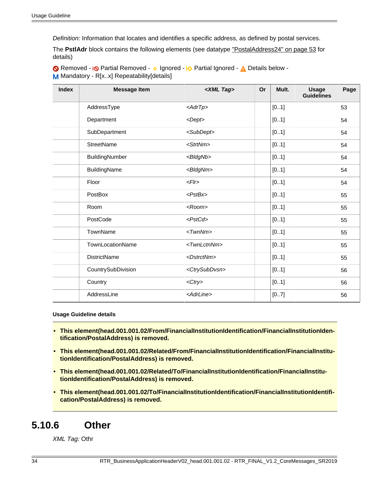Definition: Information that locates and identifies a specific address, as defined by postal services.

The **PstlAdr** block contains the following elements (see datatype ["PostalAddress24" on page 53](#page-52-1) for details)

Removed - <sub>!</sub>© Partial Removed - 
o Ignored - <u>I</u> $\Diamond$  Partial Ignored - 
<u>A</u> Details below -M Mandatory - R[x.x] Repeatability[details]

| <b>Index</b> | <b>Message Item</b> | <xml tag=""></xml>          | Or | Mult. | <b>Usage</b><br><b>Guidelines</b> | Page |
|--------------|---------------------|-----------------------------|----|-------|-----------------------------------|------|
|              | AddressType         | $\langle AdrTp \rangle$     |    | [01]  |                                   | 53   |
|              | Department          | $<$ Dept $>$                |    | [01]  |                                   | 54   |
|              | SubDepartment       | <subdept></subdept>         |    | [01]  |                                   | 54   |
|              | <b>StreetName</b>   | <strtnm></strtnm>           |    | [01]  |                                   | 54   |
|              | BuildingNumber      | <bldgnb></bldgnb>           |    | [01]  |                                   | 54   |
|              | BuildingName        | <bldgnm></bldgnm>           |    | [01]  |                                   | 54   |
|              | Floor               | F                           |    | [01]  |                                   | 54   |
|              | PostBox             | $<$ PstBx $>$               |    | [01]  |                                   | 55   |
|              | Room                | $<$ Room $>$                |    | [01]  |                                   | 55   |
|              | PostCode            | $<$ PstCd>                  |    | [01]  |                                   | 55   |
|              | TownName            | $<$ Twn $N$ m $>$           |    | [01]  |                                   | 55   |
|              | TownLocationName    | <twnlctnnm></twnlctnnm>     |    | [01]  |                                   | 55   |
|              | <b>DistrictName</b> | <dstrctnm></dstrctnm>       |    | [01]  |                                   | 55   |
|              | CountrySubDivision  | <ctrysubdvsn></ctrysubdvsn> |    | [01]  |                                   | 56   |
|              | Country             | $<$ Ctry>                   |    | [01]  |                                   | 56   |
|              | AddressLine         | <adrline></adrline>         |    | [07]  |                                   | 56   |

#### **Usage Guideline details**

- <span id="page-33-0"></span>• **This element(head.001.001.02/From/FinancialInstitutionIdentification/FinancialInstitutionIdentification/PostalAddress) is removed.**
- <span id="page-33-1"></span>• **This element(head.001.001.02/Related/From/FinancialInstitutionIdentification/FinancialInstitutionIdentification/PostalAddress) is removed.**
- <span id="page-33-2"></span>• **This element(head.001.001.02/Related/To/FinancialInstitutionIdentification/FinancialInstitutionIdentification/PostalAddress) is removed.**
- <span id="page-33-3"></span>• **This element(head.001.001.02/To/FinancialInstitutionIdentification/FinancialInstitutionIdentification/PostalAddress) is removed.**

### <span id="page-33-4"></span>**5.10.6 Other**

XML Tag: Othr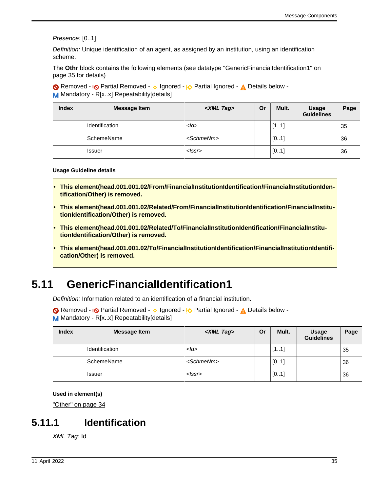Presence: [0..1]

Definition: Unique identification of an agent, as assigned by an institution, using an identification scheme.

The Othr block contains the following elements (see datatype ["GenericFinancialIdentification1" on](#page-34-4) [page 35](#page-34-4) for details)

Removed - <sub>!</sub>© Partial Removed - 
o Ignored - <sup>1</sup>

<sub>2</sub> Partial Ignored - 
<sub>1</sub>

<sub>2</sub> Details below -M Mandatory - R[x..x] Repeatability[details]

| <b>Index</b> | <b>Message Item</b>   | <xml tag=""></xml>  | Or | Mult. | <b>Usage</b><br><b>Guidelines</b> | Page |
|--------------|-----------------------|---------------------|----|-------|-----------------------------------|------|
|              | <b>Identification</b> | $<$ Id $>$          |    | [11]  |                                   | 35   |
|              | SchemeName            | <schmenm></schmenm> |    | [01]  |                                   | 36   |
|              | <b>Issuer</b>         | $\langle$ SSr $>$   |    | [01]  |                                   | 36   |

**Usage Guideline details**

- <span id="page-34-0"></span>• **This element(head.001.001.02/From/FinancialInstitutionIdentification/FinancialInstitutionIdentification/Other) is removed.**
- <span id="page-34-1"></span>• **This element(head.001.001.02/Related/From/FinancialInstitutionIdentification/FinancialInstitutionIdentification/Other) is removed.**
- <span id="page-34-2"></span>• **This element(head.001.001.02/Related/To/FinancialInstitutionIdentification/FinancialInstitutionIdentification/Other) is removed.**
- <span id="page-34-3"></span>• **This element(head.001.001.02/To/FinancialInstitutionIdentification/FinancialInstitutionIdentification/Other) is removed.**

## <span id="page-34-4"></span>**5.11 GenericFinancialIdentification1**

Definition: Information related to an identification of a financial institution.

Removed - <sub>!</sub>© Partial Removed - 
o Ignored - <u>I</u> $\Diamond$  Partial Ignored - 
<u>A</u> Details below -M Mandatory - R[x..x] Repeatability[details]

| <b>Index</b> | <b>Message Item</b> | <xml tag=""></xml>  | Or | Mult. | <b>Usage</b><br><b>Guidelines</b> | Page |
|--------------|---------------------|---------------------|----|-------|-----------------------------------|------|
|              | Identification      | $<$ <i>Id</i> >     |    | [11]  |                                   | 35   |
|              | SchemeName          | <schmenm></schmenm> |    | [01]  |                                   | 36   |
|              | <b>Issuer</b>       | $<$ $ ssr>$         |    | [01]  |                                   | 36   |

**Used in element(s)**

["Other" on page 34](#page-33-4)

### <span id="page-34-5"></span>**5.11.1 Identification**

XML Tag: Id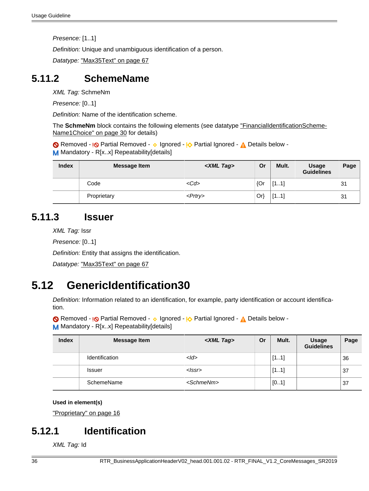Presence: [1..1]

Definition: Unique and unambiguous identification of a person.

Datatype: ["Max35Text" on page 67](#page-66-0)

### <span id="page-35-2"></span>**5.11.2 SchemeName**

XML Tag: SchmeNm

Presence: [0..1]

Definition: Name of the identification scheme.

The **SchmeNm** block contains the following elements (see datatype ["FinancialIdentificationScheme-](#page-29-4)[Name1Choice" on page 30](#page-29-4) for details)

Removed - **I<sub></sub>O** Partial Removed - **v** Ignored - **I<sub>O</sub>** Partial Ignored - **A** Details below -M Mandatory - R[x..x] Repeatability[details]

| <b>Index</b> | <b>Message Item</b> | <xml tag=""></xml> | Or     | Mult. | <b>Usage</b><br><b>Guidelines</b> | Page |
|--------------|---------------------|--------------------|--------|-------|-----------------------------------|------|
|              | Code                | $<$ Cd>            | {Or    | [11]  |                                   | 31   |
|              | Proprietary         | $<$ Prtry>         | $Or\}$ | [11]  |                                   | 31   |

### <span id="page-35-3"></span>**5.11.3 Issuer**

XML Tag: Issr

Presence: [0..1]

Definition: Entity that assigns the identification.

Datatype: ["Max35Text" on page 67](#page-66-0)

## <span id="page-35-0"></span>**5.12 GenericIdentification30**

Definition: Information related to an identification, for example, party identification or account identification.

Removed - <sub>!</sub>© Partial Removed - 
o Ignored - <sup>1</sup>

<sub>2</sub> Partial Ignored - 
<sub>1</sub>

<sub>2</sub> Details below -

M Mandatory - R[x..x] Repeatability[details]

| <b>Index</b> | <b>Message Item</b>   | <xml tag=""></xml>  | Or | Mult. | <b>Usage</b><br><b>Guidelines</b> | Page |
|--------------|-----------------------|---------------------|----|-------|-----------------------------------|------|
|              | <b>Identification</b> | $<$ Id $>$          |    | [11]  |                                   | 36   |
|              | <b>Issuer</b>         | $<$ $ ssr>$         |    | [11]  |                                   | 37   |
|              | SchemeName            | <schmenm></schmenm> |    | [01]  |                                   | 37   |

#### **Used in element(s)**

["Proprietary" on page 16](#page-15-2)

### <span id="page-35-1"></span>**5.12.1 Identification**

XML Tag: Id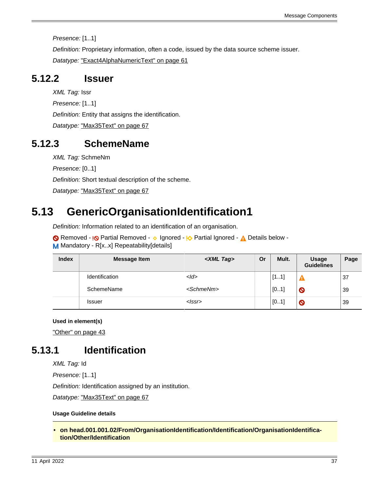Presence: [1..1]

Definition: Proprietary information, often a code, issued by the data source scheme issuer.

Datatype: ["Exact4AlphaNumericText" on page 61](#page-60-1)

### <span id="page-36-1"></span>**5.12.2 Issuer**

XML Tag: Issr

Presence: [1..1]

Definition: Entity that assigns the identification.

Datatype: ["Max35Text" on page 67](#page-66-0)

### <span id="page-36-2"></span>**5.12.3 SchemeName**

XML Tag: SchmeNm

Presence: [0..1]

Definition: Short textual description of the scheme.

Datatype: ["Max35Text" on page 67](#page-66-0)

# <span id="page-36-4"></span>**5.13 GenericOrganisationIdentification1**

Definition: Information related to an identification of an organisation.

Removed - <sub>!</sub>© Partial Removed - 
o Ignored - <u>I</u> $\Diamond$  Partial Ignored - 
<u>A</u> Details below -M Mandatory - R[x..x] Repeatability[details]

| <b>Index</b> | <b>Message Item</b> | <xml tag=""></xml>  | Or | Mult. | <b>Usage</b><br><b>Guidelines</b> | Page |
|--------------|---------------------|---------------------|----|-------|-----------------------------------|------|
|              | Identification      | $<$ <i>Id</i> >     |    | [11]  |                                   | 37   |
|              | SchemeName          | <schmenm></schmenm> |    | [01]  | $\boldsymbol{\mathsf{O}}$         | 39   |
|              | <b>Issuer</b>       | <lssr></lssr>       |    | [01]  | O                                 | 39   |

**Used in element(s)**

["Other" on page 43](#page-42-6)

## <span id="page-36-3"></span>**5.13.1 Identification**

XML Tag: Id

Presence: [1..1]

Definition: Identification assigned by an institution.

Datatype: ["Max35Text" on page 67](#page-66-0)

### **Usage Guideline details**

<span id="page-36-0"></span>• **on head.001.001.02/From/OrganisationIdentification/Identification/OrganisationIdentification/Other/Identification**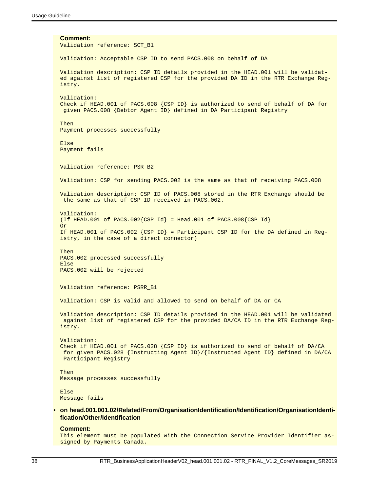**Comment:** Validation reference: SCT\_B1 Validation: Acceptable CSP ID to send PACS.008 on behalf of DA Validation description: CSP ID details provided in the HEAD.001 will be validated against list of registered CSP for the provided DA ID in the RTR Exchange Registry. Validation: Check if HEAD.001 of PACS.008 {CSP ID} is authorized to send of behalf of DA for given PACS.008 {Debtor Agent ID} defined in DA Participant Registry Then Payment processes successfully Else Payment fails Validation reference: PSR\_B2 Validation: CSP for sending PACS.002 is the same as that of receiving PACS.008 Validation description: CSP ID of PACS.008 stored in the RTR Exchange should be the same as that of CSP ID received in PACS.002. Validation: (If HEAD.001 of PACS.002{CSP Id} = Head.001 of PACS.008{CSP Id} Or If HEAD.001 of PACS.002  $\{CSP$  ID} = Participant CSP ID for the DA defined in Registry, in the case of a direct connector) Then PACS.002 processed successfully Else PACS.002 will be rejected Validation reference: PSRR\_B1 Validation: CSP is valid and allowed to send on behalf of DA or CA Validation description: CSP ID details provided in the HEAD.001 will be validated against list of registered CSP for the provided DA/CA ID in the RTR Exchange Registry. Validation: Check if HEAD.001 of PACS.028  $\{CSP\ ID\}$  is authorized to send of behalf of DA/CA for given PACS.028 {Instructing Agent ID}/{Instructed Agent ID} defined in DA/CA Participant Registry Then Message processes successfully Else Message fails • **on head.001.001.02/Related/From/OrganisationIdentification/Identification/OrganisationIdenti-**

#### **Comment:**

<span id="page-37-0"></span>**fication/Other/Identification**

This element must be populated with the Connection Service Provider Identifier assigned by Payments Canada.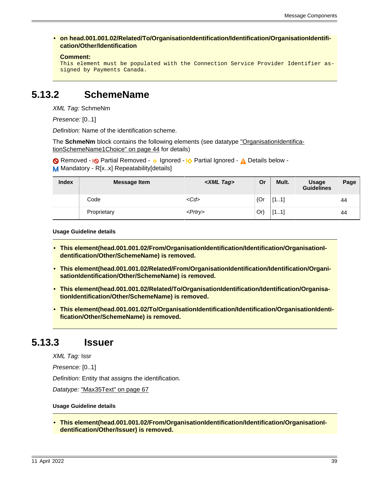<span id="page-38-5"></span>• **on head.001.001.02/Related/To/OrganisationIdentification/Identification/OrganisationIdentification/Other/Identification**

```
Comment:
```

```
This element must be populated with the Connection Service Provider Identifier as-
signed by Payments Canada.
```
### <span id="page-38-6"></span>**5.13.2 SchemeName**

XML Tag: SchmeNm

Presence: [0..1]

Definition: Name of the identification scheme.

The **SchmeNm** block contains the following elements (see datatype ["OrganisationIdentifica](#page-43-2)[tionSchemeName1Choice" on page 44](#page-43-2) for details)

Removed - <sub>!</sub>© Partial Removed - 
o Ignored - <u>I</u> $\Diamond$  Partial Ignored - 
<u>A</u> Details below -M Mandatory - R[x..x] Repeatability[details]

| <b>Index</b> | <b>Message Item</b> | <xml tag=""></xml> | Or     | Mult. | Usage<br><b>Guidelines</b> | Page |
|--------------|---------------------|--------------------|--------|-------|----------------------------|------|
|              | Code                | $<$ Cd>            | ${Or}$ | [11]  |                            | 44   |
|              | Proprietary         | $<$ Prtry $>$      | $Or\}$ | [11]  |                            | 44   |

**Usage Guideline details**

- <span id="page-38-0"></span>• This element(head.001.001.02/From/OrganisationIdentification/Identification/OrganisationI**dentification/Other/SchemeName) is removed.**
- <span id="page-38-1"></span>• **This element(head.001.001.02/Related/From/OrganisationIdentification/Identification/OrganisationIdentification/Other/SchemeName) is removed.**
- <span id="page-38-2"></span>• **This element(head.001.001.02/Related/To/OrganisationIdentification/Identification/OrganisationIdentification/Other/SchemeName) is removed.**
- <span id="page-38-3"></span>• **This element(head.001.001.02/To/OrganisationIdentification/Identification/OrganisationIdentification/Other/SchemeName) is removed.**

### <span id="page-38-7"></span>**5.13.3 Issuer**

XML Tag: Issr

Presence: [0..1]

Definition: Entity that assigns the identification.

Datatype: ["Max35Text" on page 67](#page-66-0)

#### **Usage Guideline details**

<span id="page-38-4"></span>• **This element(head.001.001.02/From/OrganisationIdentification/Identification/OrganisationIdentification/Other/Issuer) is removed.**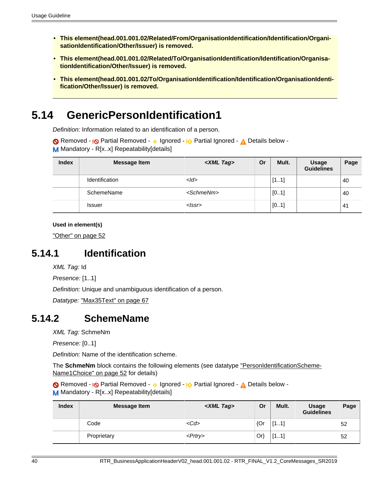- <span id="page-39-0"></span>• **This element(head.001.001.02/Related/From/OrganisationIdentification/Identification/OrganisationIdentification/Other/Issuer) is removed.**
- <span id="page-39-1"></span>• **This element(head.001.001.02/Related/To/OrganisationIdentification/Identification/OrganisationIdentification/Other/Issuer) is removed.**
- <span id="page-39-2"></span>• **This element(head.001.001.02/To/OrganisationIdentification/Identification/OrganisationIdentification/Other/Issuer) is removed.**

## <span id="page-39-5"></span>**5.14 GenericPersonIdentification1**

Definition: Information related to an identification of a person.

Removed - <sub>I</sub><sub>O</sub> Partial Removed - **O** Ignored - <sub>I</sub><sub>O</sub> Partial Ignored - 
<sub>A</sub> Details below -M Mandatory - R[x..x] Repeatability[details]

| <b>Index</b> | <b>Message Item</b> | <xml tag=""></xml>  | Or | Mult. | <b>Usage</b><br><b>Guidelines</b> | Page |
|--------------|---------------------|---------------------|----|-------|-----------------------------------|------|
|              | Identification      | $<$ <i>Id</i> >     |    | [11]  |                                   | 40   |
|              | SchemeName          | <schmenm></schmenm> |    | [01]  |                                   | 40   |
|              | <b>Issuer</b>       | <lssr></lssr>       |    | [01]  |                                   | 41   |

**Used in element(s)**

["Other" on page 52](#page-51-0)

### <span id="page-39-3"></span>**5.14.1 Identification**

XML Tag: Id

Presence: [1..1]

Definition: Unique and unambiguous identification of a person.

Datatype: ["Max35Text" on page 67](#page-66-0)

### <span id="page-39-4"></span>**5.14.2 SchemeName**

XML Tag: SchmeNm

Presence: [0..1]

Definition: Name of the identification scheme.

The **SchmeNm** block contains the following elements (see datatype ["PersonIdentificationScheme-](#page-51-1)[Name1Choice" on page 52](#page-51-1) for details)

Removed - <sub>!</sub>© Partial Removed - 
o Ignored - <sub>!</sub>O Partial Ignored - 
<sub>A</sub> Details below -M Mandatory - R[x.x] Repeatability[details]

| <b>Index</b> | <b>Message Item</b> | <xml tag=""></xml> | Or  | Mult. | <b>Usage</b><br><b>Guidelines</b> | Page |
|--------------|---------------------|--------------------|-----|-------|-----------------------------------|------|
|              | Code                | $<$ Cd>            | {Or | [11]  |                                   | 52   |
|              | Proprietary         | $<$ Prtry $>$      | Orl | [11]  |                                   | 52   |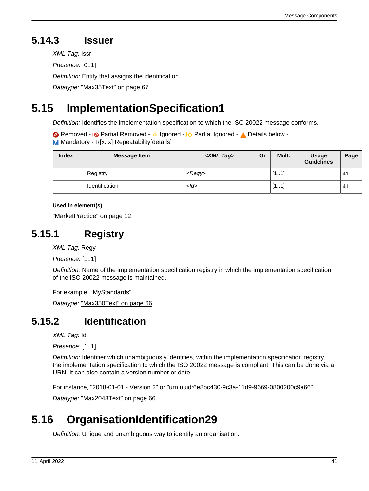## <span id="page-40-3"></span>**5.14.3 Issuer**

XML Tag: Issr Presence: [0..1] Definition: Entity that assigns the identification.

Datatype: ["Max35Text" on page 67](#page-66-0)

# <span id="page-40-2"></span>**5.15 ImplementationSpecification1**

Definition: Identifies the implementation specification to which the ISO 20022 message conforms.

Removed - <sub>!</sub>© Partial Removed - 
o Ignored - <u>I</u> $\Diamond$  Partial Ignored - 
<u>A</u> Details below -M Mandatory - R[x..x] Repeatability[details]

| <b>Index</b> | <b>Message Item</b> | <xml tag=""></xml> | Or | Mult. | <b>Usage</b><br><b>Guidelines</b> | Page           |
|--------------|---------------------|--------------------|----|-------|-----------------------------------|----------------|
|              | Registry            | $<$ Regy $>$       |    | [11]  |                                   | 4'             |
|              | Identification      | $<$ ld>            |    | [11]  |                                   | 4 <sup>′</sup> |

**Used in element(s)**

["MarketPractice" on page 12](#page-11-3)

## <span id="page-40-0"></span>**5.15.1 Registry**

XML Tag: Regy

Presence: [1..1]

Definition: Name of the implementation specification registry in which the implementation specification of the ISO 20022 message is maintained.

For example, "MyStandards".

Datatype: ["Max350Text" on page 66](#page-65-1)

### <span id="page-40-1"></span>**5.15.2 Identification**

XML Tag: Id

Presence: [1..1]

Definition: Identifier which unambiguously identifies, within the implementation specification registry, the implementation specification to which the ISO 20022 message is compliant. This can be done via a URN. It can also contain a version number or date.

For instance, "2018-01-01 - Version 2" or "urn:uuid:6e8bc430-9c3a-11d9-9669-0800200c9a66".

Datatype: ["Max2048Text" on page 66](#page-65-0)

# <span id="page-40-4"></span>**5.16 OrganisationIdentification29**

Definition: Unique and unambiguous way to identify an organisation.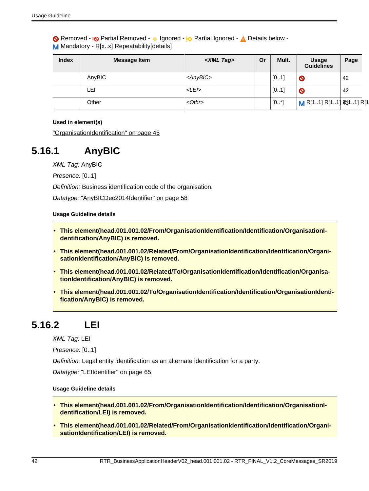Removed - <sub>!</sub>© Partial Removed - 
o Ignored - <sup>1</sup>

<sub>2</sub> Partial Ignored - 
<sub>1</sub>

<sub>2</sub> Details below -M Mandatory - R[x..x] Repeatability[details]

| <b>Index</b> | <b>Message Item</b> | <xml tag=""></xml> | Or | Mult.   | <b>Usage</b><br><b>Guidelines</b> | Page |
|--------------|---------------------|--------------------|----|---------|-----------------------------------|------|
|              | AnyBIC              | <anybic></anybic>  |    | [01]    | $\bullet$                         | 42   |
|              | LEI                 | $<$ LEI $>$        |    | [01]    | $\bullet$                         | 42   |
|              | Other               | $<$ Othr $>$       |    | $[0^*]$ | M R[11] R[11] R\$11] R[1          |      |

#### **Used in element(s)**

["OrganisationIdentification" on page 45](#page-44-1)

### <span id="page-41-6"></span>**5.16.1 AnyBIC**

XML Tag: AnyBIC

Presence: [0..1]

Definition: Business identification code of the organisation.

Datatype: ["AnyBICDec2014Identifier" on page 58](#page-57-1)

#### **Usage Guideline details**

- <span id="page-41-0"></span>• **This element(head.001.001.02/From/OrganisationIdentification/Identification/OrganisationIdentification/AnyBIC) is removed.**
- <span id="page-41-1"></span>• **This element(head.001.001.02/Related/From/OrganisationIdentification/Identification/OrganisationIdentification/AnyBIC) is removed.**
- <span id="page-41-2"></span>• **This element(head.001.001.02/Related/To/OrganisationIdentification/Identification/OrganisationIdentification/AnyBIC) is removed.**
- <span id="page-41-3"></span>• **This element(head.001.001.02/To/OrganisationIdentification/Identification/OrganisationIdentification/AnyBIC) is removed.**

### <span id="page-41-7"></span>**5.16.2 LEI**

XML Tag: LEI

Presence: [0..1]

Definition: Legal entity identification as an alternate identification for a party.

Datatype: ["LEIIdentifier" on page 65](#page-64-1)

#### **Usage Guideline details**

- <span id="page-41-4"></span>• **This element(head.001.001.02/From/OrganisationIdentification/Identification/OrganisationIdentification/LEI) is removed.**
- <span id="page-41-5"></span>• **This element(head.001.001.02/Related/From/OrganisationIdentification/Identification/OrganisationIdentification/LEI) is removed.**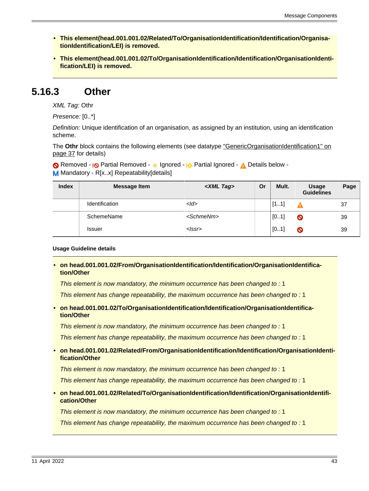- <span id="page-42-0"></span>• **This element(head.001.001.02/Related/To/OrganisationIdentification/Identification/OrganisationIdentification/LEI) is removed.**
- <span id="page-42-1"></span>• **This element(head.001.001.02/To/OrganisationIdentification/Identification/OrganisationIdentification/LEI) is removed.**

### <span id="page-42-6"></span>**5.16.3 Other**

XML Tag: Othr

Presence: [0..\*]

Definition: Unique identification of an organisation, as assigned by an institution, using an identification scheme.

The Othr block contains the following elements (see datatype ["GenericOrganisationIdentification1" on](#page-36-4) [page 37](#page-36-4) for details)

Removed - <sub>!</sub>© Partial Removed - 
o Ignored - <sub>!</sub>O Partial Ignored - 
<u>A</u> Details below -M Mandatory - R[x.x] Repeatability[details]

| <b>Index</b> | <b>Message Item</b>   | <xml tag=""></xml>  | Or | Mult. | <b>Usage</b><br><b>Guidelines</b> | Page |
|--------------|-----------------------|---------------------|----|-------|-----------------------------------|------|
|              | <b>Identification</b> | $<$ <i>Id</i> >     |    | [11]  |                                   | 37   |
|              | SchemeName            | <schmenm></schmenm> |    | [01]  | $\bullet$                         | 39   |
|              | <b>Issuer</b>         | $\langle$ SSr $>$   |    | [01]  | $\boldsymbol{\circ}$              | 39   |

#### **Usage Guideline details**

<span id="page-42-2"></span>• **on head.001.001.02/From/OrganisationIdentification/Identification/OrganisationIdentification/Other**

This element is now mandatory, the minimum occurrence has been changed to : 1

This element has change repeatability, the maximum occurrence has been changed to : 1

<span id="page-42-3"></span>• **on head.001.001.02/To/OrganisationIdentification/Identification/OrganisationIdentification/Other**

This element is now mandatory, the minimum occurrence has been changed to : 1

This element has change repeatability, the maximum occurrence has been changed to : 1

<span id="page-42-4"></span>• **on head.001.001.02/Related/From/OrganisationIdentification/Identification/OrganisationIdentification/Other**

This element is now mandatory, the minimum occurrence has been changed to : 1

This element has change repeatability, the maximum occurrence has been changed to : 1

<span id="page-42-5"></span>• **on head.001.001.02/Related/To/OrganisationIdentification/Identification/OrganisationIdentification/Other**

This element is now mandatory, the minimum occurrence has been changed to : 1

This element has change repeatability, the maximum occurrence has been changed to : 1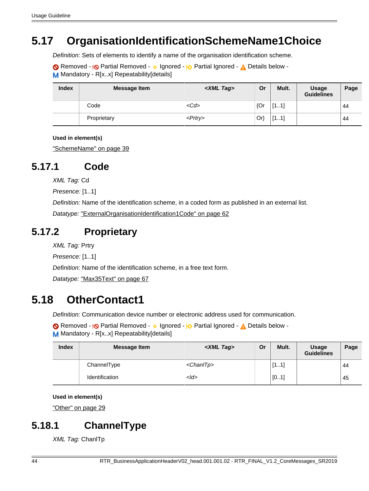# <span id="page-43-2"></span>**5.17 OrganisationIdentificationSchemeName1Choice**

Definition: Sets of elements to identify a name of the organisation identification scheme.

Removed - **I<sub></sub>O** Partial Removed - **v** Ignored - **I<sub>O</sub>** Partial Ignored - **A** Details below -M Mandatory - R[x..x] Repeatability[details]

| <b>Index</b> | <b>Message Item</b> | <xml tag=""></xml> | Or     | Mult. | <b>Usage</b><br><b>Guidelines</b> | Page |
|--------------|---------------------|--------------------|--------|-------|-----------------------------------|------|
|              | Code                | $<$ Cd>            | ${Or}$ | "M.n. |                                   | 44   |
|              | Proprietary         | <prtry></prtry>    | $Or\}$ | [11]  |                                   | 44   |

#### **Used in element(s)**

["SchemeName" on page 39](#page-38-6)

### <span id="page-43-3"></span>**5.17.1 Code**

XML Tag: Cd

Presence: [1..1]

Definition: Name of the identification scheme, in a coded form as published in an external list.

Datatype: ["ExternalOrganisationIdentification1Code" on page 62](#page-61-1)

### <span id="page-43-4"></span>**5.17.2 Proprietary**

XML Tag: Prtry

Presence: [1..1]

Definition: Name of the identification scheme, in a free text form.

Datatype: ["Max35Text" on page 67](#page-66-0)

# <span id="page-43-0"></span>**5.18 OtherContact1**

Definition: Communication device number or electronic address used for communication.

Removed - <sub>!</sub>© Partial Removed - 
o Ignored - <sub>!</sub>O Partial Ignored - 
<sub>A</sub> Details below -M Mandatory - R[x..x] Repeatability[details]

| <b>Index</b> | <b>Message Item</b> | <xml tag=""></xml>  | Or | Mult. | <b>Usage</b><br><b>Guidelines</b> | Page |
|--------------|---------------------|---------------------|----|-------|-----------------------------------|------|
|              | ChannelType         | <chanitp></chanitp> |    | [11]  |                                   | 44   |
|              | Identification      | $<$ ld>             |    | [01]  |                                   | 45   |

```
Used in element(s)
```
["Other" on page 29](#page-28-2)

## <span id="page-43-1"></span>**5.18.1 ChannelType**

XML Tag: ChanlTp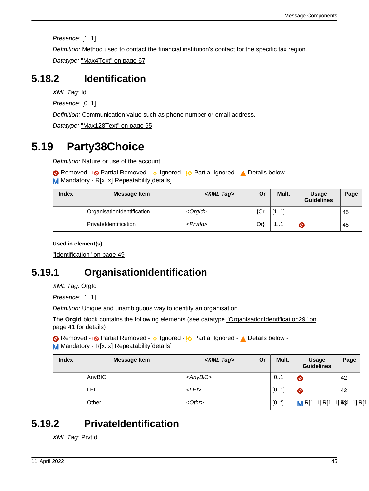Message Components

Presence: [1..1]

Definition: Method used to contact the financial institution's contact for the specific tax region.

Datatype: ["Max4Text" on page 67](#page-66-2)

## <span id="page-44-0"></span>**5.18.2 Identification**

XML Tag: Id

Presence: [0..1]

Definition: Communication value such as phone number or email address.

Datatype: ["Max128Text" on page 65](#page-64-3)

# <span id="page-44-3"></span>**5.19 Party38Choice**

Definition: Nature or use of the account.

Removed - <sub>!</sub>© Partial Removed - 
o Ignored - <u>I</u> $\Diamond$  Partial Ignored - 
<u>A</u> Details below -M Mandatory - R[x..x] Repeatability[details]

| <b>Index</b> | Message Item               | <xml tag=""></xml> | Or  | Mult. | <b>Usage</b><br><b>Guidelines</b> | Page |
|--------------|----------------------------|--------------------|-----|-------|-----------------------------------|------|
|              | OrganisationIdentification | $<$ Orgld $>$      | {Or | [11]  |                                   | 45   |
|              | PrivateIdentification      | $<$ Prvtld $>$     | Or} | [11]  | $\boldsymbol{\circ}$              | 45   |

### **Used in element(s)**

["Identification" on page 49](#page-48-8)

# <span id="page-44-1"></span>**5.19.1 OrganisationIdentification**

XML Tag: OrgId

Presence: [1..1]

Definition: Unique and unambiguous way to identify an organisation.

The **OrgId** block contains the following elements (see datatype ["OrganisationIdentification29" on](#page-40-4) [page 41](#page-40-4) for details)

Removed - <sub>!</sub>© Partial Removed - 
o Ignored - <sup>1</sup>

<sub>2</sub> Partial Ignored - 
<sub>1</sub>

<sub>2</sub> Details below -M Mandatory - R[x..x] Repeatability[details]

| <b>Index</b> | <b>Message Item</b> | <xml tag=""></xml> | Or | Mult.   | Usage<br><b>Guidelines</b>  | Page |  |
|--------------|---------------------|--------------------|----|---------|-----------------------------|------|--|
|              | AnyBIC              | <anybic></anybic>  |    | [01]    | O                           | 42   |  |
|              | LEI                 | $<$ LEI $>$        |    | [01]    | Ø                           | 42   |  |
|              | Other               | $<$ Othr $>$       |    | $[0^*]$ | $M$ R[11] R[11] R\$11] R[1. |      |  |

# <span id="page-44-2"></span>**5.19.2 PrivateIdentification**

XML Tag: PrvtId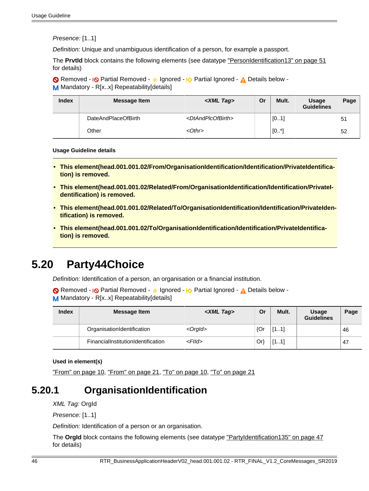Presence: [1..1]

Definition: Unique and unambiguous identification of a person, for example a passport.

The **PrvtId** block contains the following elements (see datatype ["PersonIdentification13" on page 51](#page-50-5) for details)

Removed - <sub>!</sub>© Partial Removed - 
o Ignored - <sup>1</sup>

<sub>2</sub> Partial Ignored - 
<sub>1</sub>

<sub>2</sub> Details below -M Mandatory - R[x..x] Repeatability[details]

| <b>Index</b> | Message Item        | <xml tag=""></xml>                  | Or | Mult.   | Usage<br><b>Guidelines</b> | Page |
|--------------|---------------------|-------------------------------------|----|---------|----------------------------|------|
|              | DateAndPlaceOfBirth | <dtandplcofbirth></dtandplcofbirth> |    | [01]    |                            | 51   |
|              | Other               | $< 0$ thr $>$                       |    | $[0^*]$ |                            | 52   |

#### **Usage Guideline details**

- <span id="page-45-0"></span>• **This element(head.001.001.02/From/OrganisationIdentification/Identification/PrivateIdentification) is removed.**
- <span id="page-45-1"></span>• This element(head.001.001.02/Related/From/OrganisationIdentification/Identification/Privatel**dentification) is removed.**
- <span id="page-45-2"></span>• **This element(head.001.001.02/Related/To/OrganisationIdentification/Identification/PrivateIdentification) is removed.**
- <span id="page-45-3"></span>**• This element (head.001.001.02/To/OrganisationIdentification/Identification/PrivateIdentification) is removed.**

## <span id="page-45-5"></span>**5.20 Party44Choice**

Definition: Identification of a person, an organisation or a financial institution.

Removed - <sub>!</sub>© Partial Removed - 
o Ignored - <u>I</u> $\Diamond$  Partial Ignored - 
<u>A</u> Details below -M Mandatory - R[x..x] Repeatability[details]

| <b>Index</b> | Message Item                       | <xml tag=""></xml> | Or  | Mult.      | <b>Usage</b><br><b>Guidelines</b> | Page |
|--------------|------------------------------------|--------------------|-----|------------|-----------------------------------|------|
|              | OrganisationIdentification         | $<$ Orgld $>$      | {Or | Г1<br>111  |                                   | 46   |
|              | FinancialInstitutionIdentification | $<$ Flld $>$       | Or) | Г1<br>1.11 |                                   | 47   |

#### **Used in element(s)**

["From" on page 10](#page-9-3), ["From" on page 21](#page-20-0), ["To" on page 10](#page-9-4), ["To" on page 21](#page-20-1)

### <span id="page-45-4"></span>**5.20.1 OrganisationIdentification**

XML Tag: OrgId

Presence: [1..1]

Definition: Identification of a person or an organisation.

The **Orgid** block contains the following elements (see datatype ["PartyIdentification135" on page 47](#page-46-1) for details)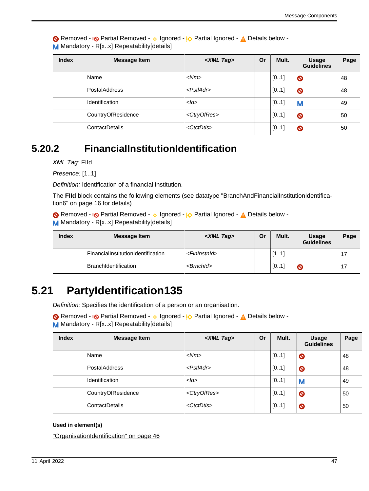Removed - <sub>!</sub>© Partial Removed - 
o Ignored - <sup>1</sup>

<sub>2</sub> Partial Ignored - 
<sub>1</sub>

<sub>2</sub> Details below -M Mandatory - R[x.x] Repeatability[details]

| <b>Index</b> | <b>Message Item</b>   | <xml tag=""></xml>      | Or | Mult. | Usage<br><b>Guidelines</b> | Page |
|--------------|-----------------------|-------------------------|----|-------|----------------------------|------|
|              | Name                  | $<$ Nm $>$              |    | [01]  | $\bullet$                  | 48   |
|              | <b>PostalAddress</b>  | $<$ Pstl $Adr$ >        |    | [01]  | $\bullet$                  | 48   |
|              | Identification        | $<$ <i>Id</i> >         |    | [01]  | M                          | 49   |
|              | CountryOfResidence    | <ctryofres></ctryofres> |    | [01]  | $\bullet$                  | 50   |
|              | <b>ContactDetails</b> | <ctctdtls></ctctdtls>   |    | [01]  | $\bullet$                  | 50   |

### <span id="page-46-0"></span>**5.20.2 FinancialInstitutionIdentification**

XML Tag: FIId

Presence: [1..1]

Definition: Identification of a financial institution.

The **FIId** block contains the following elements (see datatype ["BranchAndFinancialInstitutionIdentifica](#page-15-3)[tion6" on page 16](#page-15-3) for details)

Removed - <sub>!</sub>© Partial Removed - 
o Ignored - <sub>!</sub>O Partial Ignored - 
<sub>A</sub> Details below -M Mandatory - R[x.x] Repeatability[details]

| <b>Index</b> | <b>Message Item</b>                | <xml tag=""></xml>        | Or | Mult. | Usage<br><b>Guidelines</b> | Page |
|--------------|------------------------------------|---------------------------|----|-------|----------------------------|------|
|              | FinancialInstitutionIdentification | <fininstnid></fininstnid> |    | [11]  |                            |      |
|              | <b>BranchIdentification</b>        | $>$ Brnchld $>$           |    | [01]  | O                          |      |

# <span id="page-46-1"></span>**5.21 PartyIdentification135**

Definition: Specifies the identification of a person or an organisation.

Removed - <sub>!</sub>© Partial Removed - 
o Ignored - <sup>1</sup>

<sub>2</sub> Partial Ignored - 
<sub>1</sub>

<sub>2</sub> Details below -

M Mandatory - R[x..x] Repeatability[details]

| <b>Index</b> | <b>Message Item</b>  | <xml tag=""></xml>      | Or | Mult. | <b>Usage</b><br><b>Guidelines</b> | Page |
|--------------|----------------------|-------------------------|----|-------|-----------------------------------|------|
|              | Name                 | $<$ Nm $>$              |    | [01]  | $\bullet$                         | 48   |
|              | <b>PostalAddress</b> | $<$ Pstl $Ad$ r $>$     |    | [01]  | $\bullet$                         | 48   |
|              | Identification       | $<$ Id $>$              |    | [01]  | M                                 | 49   |
|              | CountryOfResidence   | <ctryofres></ctryofres> |    | [01]  | $\bullet$                         | 50   |
|              | ContactDetails       | <ctctdtls></ctctdtls>   |    | [01]  | $\bullet$                         | 50   |

#### **Used in element(s)**

["OrganisationIdentification" on page 46](#page-45-4)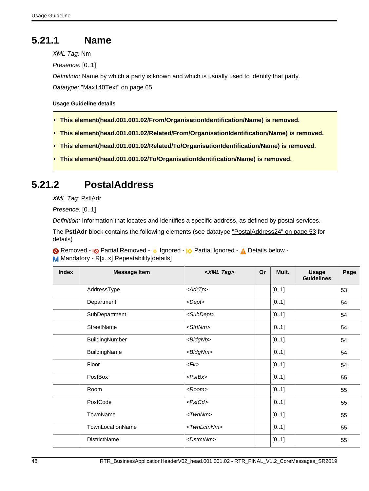### <span id="page-47-4"></span>**5.21.1 Name**

XML Tag: Nm

Presence: [0..1]

Definition: Name by which a party is known and which is usually used to identify that party. Datatype: ["Max140Text" on page 65](#page-64-2)

### **Usage Guideline details**

- <span id="page-47-0"></span>• **This element(head.001.001.02/From/OrganisationIdentification/Name) is removed.**
- <span id="page-47-1"></span>• **This element(head.001.001.02/Related/From/OrganisationIdentification/Name) is removed.**
- <span id="page-47-2"></span>• **This element(head.001.001.02/Related/To/OrganisationIdentification/Name) is removed.**
- <span id="page-47-3"></span>• **This element(head.001.001.02/To/OrganisationIdentification/Name) is removed.**

### <span id="page-47-5"></span>**5.21.2 PostalAddress**

XML Tag: PstlAdr

Presence: [0..1]

Definition: Information that locates and identifies a specific address, as defined by postal services.

The **PstlAdr** block contains the following elements (see datatype ["PostalAddress24" on page 53](#page-52-1) for details)

Removed - <sub>!</sub>© Partial Removed - 
o Ignored - <sub>!</sub>O Partial Ignored - 
<sub>A</sub> Details below -M Mandatory - R[x..x] Repeatability[details]

| <b>Index</b> | <b>Message Item</b> | <xml tag=""></xml>      | Or | Mult. | <b>Usage</b><br><b>Guidelines</b> | Page |
|--------------|---------------------|-------------------------|----|-------|-----------------------------------|------|
|              | AddressType         | <adrtp></adrtp>         |    | [01]  |                                   | 53   |
|              | Department          | $<$ Dept $>$            |    | [01]  |                                   | 54   |
|              | SubDepartment       | <subdept></subdept>     |    | [01]  |                                   | 54   |
|              | <b>StreetName</b>   | <strtnm></strtnm>       |    | [01]  |                                   | 54   |
|              | BuildingNumber      | <bldgnb></bldgnb>       |    | [01]  |                                   | 54   |
|              | BuildingName        | <bldgnm></bldgnm>       |    | [01]  |                                   | 54   |
|              | Floor               | F                       |    | [01]  |                                   | 54   |
|              | PostBox             | $<$ PstBx $>$           |    | [01]  |                                   | 55   |
|              | Room                | $<$ Room $>$            |    | [01]  |                                   | 55   |
|              | PostCode            | <pstcd></pstcd>         |    | [01]  |                                   | 55   |
|              | TownName            | $<$ Twn $N$ m $>$       |    | [01]  |                                   | 55   |
|              | TownLocationName    | <twnlctnnm></twnlctnnm> |    | [01]  |                                   | 55   |
|              | <b>DistrictName</b> | <dstrctnm></dstrctnm>   |    | [01]  |                                   | 55   |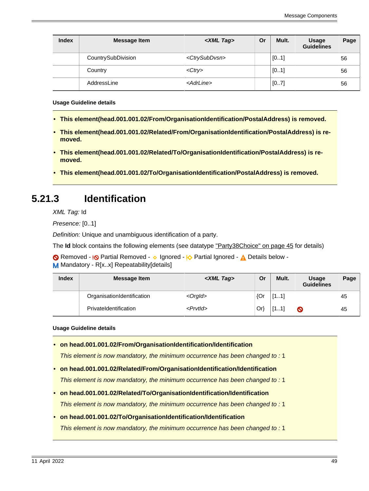| <b>Index</b> | <b>Message Item</b> | <xml tag=""></xml>          | Or | Mult. | <b>Usage</b><br><b>Guidelines</b> | Page |
|--------------|---------------------|-----------------------------|----|-------|-----------------------------------|------|
|              | CountrySubDivision  | <ctrysubdvsn></ctrysubdvsn> |    | [01]  |                                   | 56   |
|              | Country             | $<$ Ctry>                   |    | [01]  |                                   | 56   |
|              | AddressLine         | <adrline></adrline>         |    | [07]  |                                   | 56   |

**Usage Guideline details**

- <span id="page-48-0"></span>• **This element(head.001.001.02/From/OrganisationIdentification/PostalAddress) is removed.**
- <span id="page-48-1"></span>• **This element(head.001.001.02/Related/From/OrganisationIdentification/PostalAddress) is removed.**
- <span id="page-48-2"></span>• **This element(head.001.001.02/Related/To/OrganisationIdentification/PostalAddress) is removed.**
- <span id="page-48-3"></span>• **This element(head.001.001.02/To/OrganisationIdentification/PostalAddress) is removed.**

### <span id="page-48-8"></span>**5.21.3 Identification**

XML Tag: Id

Presence: [0..1]

Definition: Unique and unambiguous identification of a party.

The **Id** block contains the following elements (see datatype ["Party38Choice" on page 45](#page-44-3) for details)

Removed - <sub>!</sub>© Partial Removed - 
o Ignored - <u>I</u> $\Diamond$  Partial Ignored - 
<u>A</u> Details below -M Mandatory - R[x..x] Repeatability[details]

| <b>Index</b> | <b>Message Item</b>        | <xml tag=""></xml> | Or  | Mult.             | Usage<br><b>Guidelines</b> | Page |
|--------------|----------------------------|--------------------|-----|-------------------|----------------------------|------|
|              | OrganisationIdentification | $<$ Orgld $>$      | {Or | <b>F1 11</b><br>. |                            | 45   |
|              | PrivateIdentification      | $<$ Prvtld $>$     | Or} | Г1<br>- 11<br>.   | Q                          | 45   |

**Usage Guideline details**

<span id="page-48-4"></span>• **on head.001.001.02/From/OrganisationIdentification/Identification**

This element is now mandatory, the minimum occurrence has been changed to : 1

<span id="page-48-5"></span>• **on head.001.001.02/Related/From/OrganisationIdentification/Identification**

This element is now mandatory, the minimum occurrence has been changed to : 1

<span id="page-48-6"></span>• **on head.001.001.02/Related/To/OrganisationIdentification/Identification**

This element is now mandatory, the minimum occurrence has been changed to : 1

<span id="page-48-7"></span>• **on head.001.001.02/To/OrganisationIdentification/Identification**

This element is now mandatory, the minimum occurrence has been changed to : 1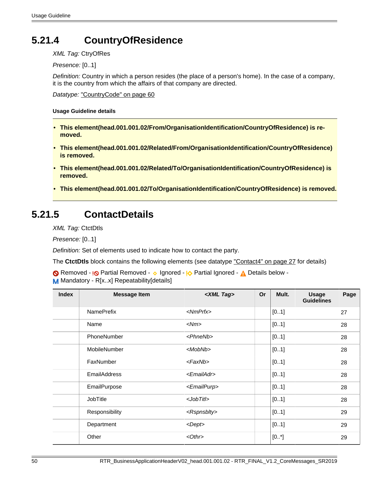## <span id="page-49-5"></span>**5.21.4 CountryOfResidence**

XML Tag: CtryOfRes

Presence: [0..1]

Definition: Country in which a person resides (the place of a person's home). In the case of a company, it is the country from which the affairs of that company are directed.

Datatype: ["CountryCode" on page 60](#page-59-0)

**Usage Guideline details**

- <span id="page-49-0"></span>• **This element(head.001.001.02/From/OrganisationIdentification/CountryOfResidence) is removed.**
- <span id="page-49-1"></span>• **This element(head.001.001.02/Related/From/OrganisationIdentification/CountryOfResidence) is removed.**
- <span id="page-49-2"></span>• **This element(head.001.001.02/Related/To/OrganisationIdentification/CountryOfResidence) is removed.**
- <span id="page-49-3"></span>• **This element(head.001.001.02/To/OrganisationIdentification/CountryOfResidence) is removed.**

### <span id="page-49-4"></span>**5.21.5 ContactDetails**

XML Tag: CtctDtls

Presence: [0..1]

Definition: Set of elements used to indicate how to contact the party.

The **CtctDtls** block contains the following elements (see datatype ["Contact4" on page 27](#page-26-3) for details)

Removed - <sub>!</sub>© Partial Removed - 
o Ignored - <u>I</u> $\Diamond$  Partial Ignored - 
<u>A</u> Details below -M Mandatory - R[x..x] Repeatability[details]

| <b>Index</b> | <b>Message Item</b> | <xml tag=""></xml>      | <b>Or</b> | Mult. | <b>Usage</b><br><b>Guidelines</b> | Page |
|--------------|---------------------|-------------------------|-----------|-------|-----------------------------------|------|
|              | <b>NamePrefix</b>   | $<$ NmPrfx $>$          |           | [01]  |                                   | 27   |
|              | Name                | $<$ Nm $>$              |           | [01]  |                                   | 28   |
|              | PhoneNumber         | $<$ Phne $Nb$ >         |           | [01]  |                                   | 28   |
|              | MobileNumber        | $<$ MobNb>              |           | [01]  |                                   | 28   |
|              | FaxNumber           | $<$ Fax $Nb$ >          |           | [01]  |                                   | 28   |
|              | <b>EmailAddress</b> | <emailadr></emailadr>   |           | [01]  |                                   | 28   |
|              | EmailPurpose        | <emailpurp></emailpurp> |           | [01]  |                                   | 28   |
|              | <b>JobTitle</b>     | $<$ JobTitl $>$         |           | [01]  |                                   | 28   |
|              | Responsibility      | <rspnsblty></rspnsblty> |           | [01]  |                                   | 29   |
|              | Department          | <dept></dept>           |           | [01]  |                                   | 29   |
|              | Other               | $< 0$ thr $>$           |           | [0.1] |                                   | 29   |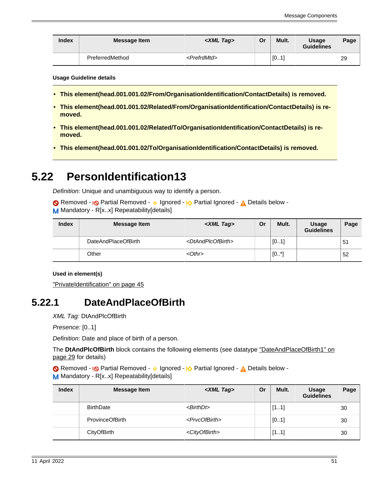| <b>Index</b> | Message Item    | $\langle$ XML Tag $\rangle$ | Or | Mult.                    | <b>Usage</b><br><b>Guidelines</b> | Page |
|--------------|-----------------|-----------------------------|----|--------------------------|-----------------------------------|------|
|              | PreferredMethod | <prefrdmtd></prefrdmtd>     |    | $\sqrt{0}$<br><b>A</b> 1 |                                   | 29   |

**Usage Guideline details**

- <span id="page-50-0"></span>• **This element(head.001.001.02/From/OrganisationIdentification/ContactDetails) is removed.**
- <span id="page-50-1"></span>• **This element(head.001.001.02/Related/From/OrganisationIdentification/ContactDetails) is removed.**
- <span id="page-50-2"></span>• **This element(head.001.001.02/Related/To/OrganisationIdentification/ContactDetails) is removed.**
- <span id="page-50-3"></span>• **This element(head.001.001.02/To/OrganisationIdentification/ContactDetails) is removed.**

## <span id="page-50-5"></span>**5.22 PersonIdentification13**

Definition: Unique and unambiguous way to identify a person.

Removed - <sub>!</sub>© Partial Removed - 
o Ignored - <sub>!</sub>O Partial Ignored - 
<sub>A</sub> Details below -M Mandatory - R[x.x] Repeatability[details]

| <b>Index</b> | Message Item        | <xml tag=""></xml>                  | Or | Mult.   | <b>Usage</b><br><b>Guidelines</b> | Page           |
|--------------|---------------------|-------------------------------------|----|---------|-----------------------------------|----------------|
|              | DateAndPlaceOfBirth | <dtandplcofbirth></dtandplcofbirth> |    | [01]    |                                   | 5 <sup>1</sup> |
|              | Other               | $< 0$ thr $>$                       |    | $[0^*]$ |                                   | 52             |

### **Used in element(s)**

["PrivateIdentification" on page 45](#page-44-2)

### <span id="page-50-4"></span>**5.22.1 DateAndPlaceOfBirth**

XML Tag: DtAndPlcOfBirth

Presence: [0..1]

Definition: Date and place of birth of a person.

The **DtAndPlcOfBirth** block contains the following elements (see datatype ["DateAndPlaceOfBirth1" on](#page-28-4) [page 29](#page-28-4) for details)

Removed - <sub>!</sub>© Partial Removed - 
o Ignored - <sup>1</sup>

<sub>2</sub> Partial Ignored - 
<sub>1</sub>

<sub>2</sub> Details below -M Mandatory - R[x..x] Repeatability[details]

| <b>Index</b> | Message Item           | <xml tag=""></xml>          | Or | Mult. | <b>Usage</b><br><b>Guidelines</b> | Page |
|--------------|------------------------|-----------------------------|----|-------|-----------------------------------|------|
|              | <b>BirthDate</b>       | <birthdt></birthdt>         |    | [11]  |                                   | 30   |
|              | <b>ProvinceOfBirth</b> | <prvcofbirth></prvcofbirth> |    | [01]  |                                   | 30   |
|              | CityOfBirth            | <cityofbirth></cityofbirth> |    | [11]  |                                   | 30   |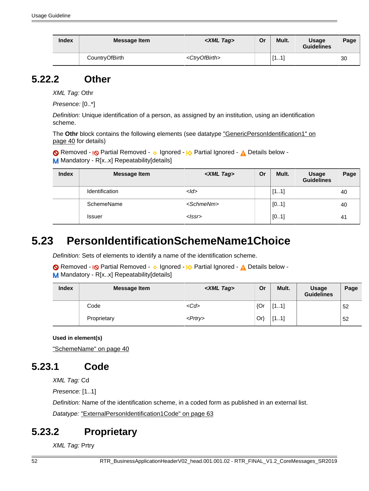| <b>Index</b> | <b>Message Item</b> | $\langle$ XML Tag $\rangle$ | Or | Mult. | <b>Usage</b><br><b>Guidelines</b> | Page |
|--------------|---------------------|-----------------------------|----|-------|-----------------------------------|------|
|              | CountryOfBirth      | <ctryofbirth></ctryofbirth> |    | [11]  |                                   | 30   |

### <span id="page-51-0"></span>**5.22.2 Other**

XML Tag: Othr

Presence: [0..\*]

Definition: Unique identification of a person, as assigned by an institution, using an identification scheme.

The Othr block contains the following elements (see datatype ["GenericPersonIdentification1" on](#page-39-5) [page 40](#page-39-5) for details)

Removed - <sub>!</sub>© Partial Removed - 
o Ignored - <u>I</u> $\Diamond$  Partial Ignored - 
<u>A</u> Details below -M Mandatory - R[x.x] Repeatability[details]

| <b>Index</b> | Message Item   | <xml tag=""></xml>  | Or | Mult. | <b>Usage</b><br><b>Guidelines</b> | Page           |
|--------------|----------------|---------------------|----|-------|-----------------------------------|----------------|
|              | Identification | $<$ <i>Id</i> >     |    | [11]  |                                   | 40             |
|              | SchemeName     | <schmenm></schmenm> |    | [01]  |                                   | 40             |
|              | <b>Issuer</b>  | $<$ $ ssr>$         |    | [01]  |                                   | 4 <sup>1</sup> |

# <span id="page-51-1"></span>**5.23 PersonIdentificationSchemeName1Choice**

Definition: Sets of elements to identify a name of the identification scheme.

Removed - <sub>!</sub>© Partial Removed - 
o Ignored - <sub>!</sub>O Partial Ignored - 
<sub>A</sub> Details below -M Mandatory - R[x..x] Repeatability[details]

| <b>Index</b> | <b>Message Item</b> | <xml tag=""></xml> | Or     | Mult. | <b>Usage</b><br><b>Guidelines</b> | Page |
|--------------|---------------------|--------------------|--------|-------|-----------------------------------|------|
|              | Code                | $<$ Cd>            | {Or    | [11]  |                                   | 52   |
|              | Proprietary         | $<$ Prtry>         | $Or\}$ | [11]  |                                   | 52   |

**Used in element(s)**

["SchemeName" on page 40](#page-39-4)

## <span id="page-51-2"></span>**5.23.1 Code**

XML Tag: Cd

Presence: [1..1]

Definition: Name of the identification scheme, in a coded form as published in an external list.

Datatype: ["ExternalPersonIdentification1Code" on page 63](#page-62-0)

## <span id="page-51-3"></span>**5.23.2 Proprietary**

XML Tag: Prtry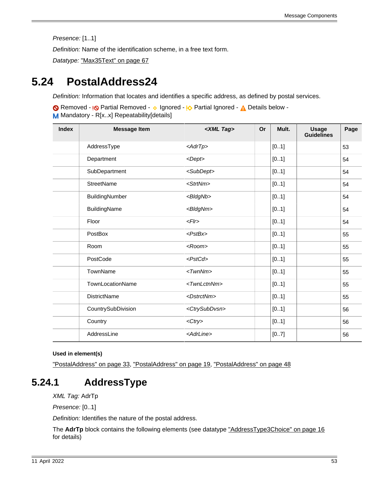Presence: [1..1]

Definition: Name of the identification scheme, in a free text form.

Datatype: ["Max35Text" on page 67](#page-66-0)

## <span id="page-52-1"></span>**5.24 PostalAddress24**

Definition: Information that locates and identifies a specific address, as defined by postal services.

Removed - **I<sub></sub>O** Partial Removed - **v** Ignored - **I<sub>O</sub>** Partial Ignored - **A** Details below -M Mandatory - R[x..x] Repeatability[details]

| <b>Index</b> | <b>Message Item</b> | <xml tag=""></xml>          | Or | Mult. | <b>Usage</b><br><b>Guidelines</b> | Page |
|--------------|---------------------|-----------------------------|----|-------|-----------------------------------|------|
|              | AddressType         | $\langle AdrTp \rangle$     |    | [01]  |                                   | 53   |
|              | Department          | $<$ Dept $>$                |    | [01]  |                                   | 54   |
|              | SubDepartment       | <subdept></subdept>         |    | [01]  |                                   | 54   |
|              | StreetName          | <strtnm></strtnm>           |    | [01]  |                                   | 54   |
|              | BuildingNumber      | <bldgnb></bldgnb>           |    | [01]  |                                   | 54   |
|              | BuildingName        | <bldgnm></bldgnm>           |    | [01]  |                                   | 54   |
|              | Floor               | F                           |    | [01]  |                                   | 54   |
|              | PostBox             | $<$ PstBx $>$               |    | [01]  |                                   | 55   |
|              | Room                | $<$ Room $>$                |    | [01]  |                                   | 55   |
|              | PostCode            | <pstcd></pstcd>             |    | [01]  |                                   | 55   |
|              | TownName            | $<$ Twn $N$ m $>$           |    | [01]  |                                   | 55   |
|              | TownLocationName    | <twnlctnnm></twnlctnnm>     |    | [01]  |                                   | 55   |
|              | <b>DistrictName</b> | <dstrctnm></dstrctnm>       |    | [01]  |                                   | 55   |
|              | CountrySubDivision  | <ctrysubdvsn></ctrysubdvsn> |    | [01]  |                                   | 56   |
|              | Country             | $<$ Ctry>                   |    | [01]  |                                   | 56   |
|              | AddressLine         | <adrline></adrline>         |    | [07]  |                                   | 56   |

### **Used in element(s)**

["PostalAddress" on page 33](#page-32-10), ["PostalAddress" on page 19](#page-18-2), ["PostalAddress" on page 48](#page-47-5)

## <span id="page-52-0"></span>**5.24.1 AddressType**

XML Tag: AdrTp

Presence: [0..1]

Definition: Identifies the nature of the postal address.

The **AdrTp** block contains the following elements (see datatype ["AddressType3Choice" on page 16](#page-15-4) for details)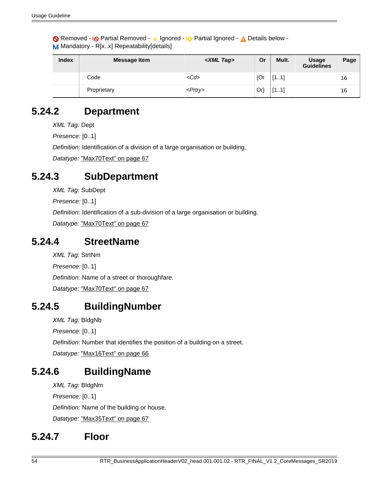Removed - <sub>!</sub>© Partial Removed - 
o Ignored - <sup>1</sup>

<sub>2</sub> Partial Ignored - 
<sub>1</sub>

<sub>2</sub> Details below -M Mandatory - R[x..x] Repeatability[details]

| <b>Index</b> | <b>Message Item</b> | <xml tag=""></xml> | Or  | Mult. | <b>Usage</b><br><b>Guidelines</b> | Page |
|--------------|---------------------|--------------------|-----|-------|-----------------------------------|------|
|              | Code                | $<$ Cd>            | {Or | [11]  |                                   | 16   |
|              | Proprietary         | $<$ Prtry $>$      | Orl | [11]  |                                   | 16   |

## <span id="page-53-0"></span>**5.24.2 Department**

XML Tag: Dept

Presence: [0..1]

Definition: Identification of a division of a large organisation or building.

Datatype: ["Max70Text" on page 67](#page-66-1)

### <span id="page-53-1"></span>**5.24.3 SubDepartment**

XML Tag: SubDept

Presence: [0..1]

Definition: Identification of a sub-division of a large organisation or building.

Datatype: ["Max70Text" on page 67](#page-66-1)

### <span id="page-53-2"></span>**5.24.4 StreetName**

XML Tag: StrtNm Presence: [0..1] Definition: Name of a street or thoroughfare. Datatype: ["Max70Text" on page 67](#page-66-1)

### <span id="page-53-3"></span>**5.24.5 BuildingNumber**

XML Tag: BldgNb

Presence: [0..1]

Definition: Number that identifies the position of a building on a street.

Datatype: ["Max16Text" on page 66](#page-65-2)

## <span id="page-53-4"></span>**5.24.6 BuildingName**

XML Tag: BldgNm Presence: [0..1] Definition: Name of the building or house. Datatype: ["Max35Text" on page 67](#page-66-0)

### <span id="page-53-5"></span>**5.24.7 Floor**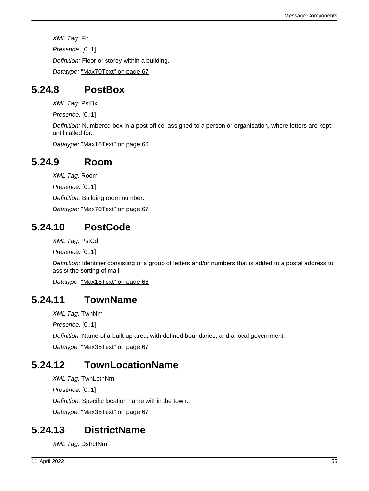XML Tag: Flr Presence: [0..1] Definition: Floor or storey within a building. Datatype: ["Max70Text" on page 67](#page-66-1)

## <span id="page-54-0"></span>**5.24.8 PostBox**

XML Tag: PstBx

Presence: [0..1]

Definition: Numbered box in a post office, assigned to a person or organisation, where letters are kept until called for.

Datatype: ["Max16Text" on page 66](#page-65-2)

## <span id="page-54-1"></span>**5.24.9 Room**

XML Tag: Room Presence: [0..1] Definition: Building room number.

Datatype: ["Max70Text" on page 67](#page-66-1)

### <span id="page-54-2"></span>**5.24.10 PostCode**

XML Tag: PstCd

Presence: [0..1]

Definition: Identifier consisting of a group of letters and/or numbers that is added to a postal address to assist the sorting of mail.

Datatype: ["Max16Text" on page 66](#page-65-2)

## <span id="page-54-3"></span>**5.24.11 TownName**

XML Tag: TwnNm

Presence: [0..1]

Definition: Name of a built-up area, with defined boundaries, and a local government.

Datatype: ["Max35Text" on page 67](#page-66-0)

# <span id="page-54-4"></span>**5.24.12 TownLocationName**

XML Tag: TwnLctnNm

Presence: [0..1]

Definition: Specific location name within the town.

Datatype: ["Max35Text" on page 67](#page-66-0)

### <span id="page-54-5"></span>**5.24.13 DistrictName**

XML Tag: DstrctNm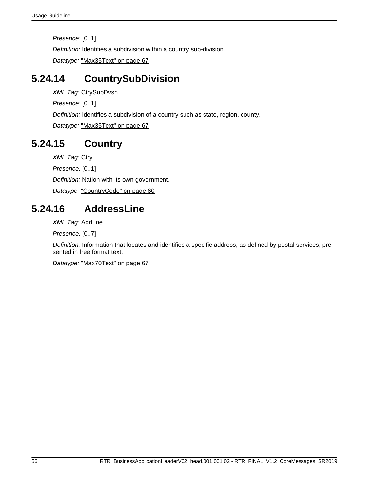Presence: [0..1]

Definition: Identifies a subdivision within a country sub-division.

Datatype: ["Max35Text" on page 67](#page-66-0)

### <span id="page-55-0"></span>**5.24.14 CountrySubDivision**

XML Tag: CtrySubDvsn

Presence: [0..1]

Definition: Identifies a subdivision of a country such as state, region, county.

Datatype: ["Max35Text" on page 67](#page-66-0)

### <span id="page-55-1"></span>**5.24.15 Country**

XML Tag: Ctry

Presence: [0..1]

Definition: Nation with its own government.

Datatype: ["CountryCode" on page 60](#page-59-0)

### <span id="page-55-2"></span>**5.24.16 AddressLine**

XML Tag: AdrLine

Presence: [0..7]

Definition: Information that locates and identifies a specific address, as defined by postal services, presented in free format text.

Datatype: ["Max70Text" on page 67](#page-66-1)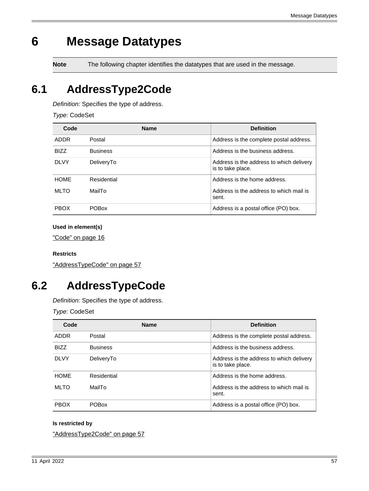# <span id="page-56-0"></span>**6 Message Datatypes**

**Note** The following chapter identifies the datatypes that are used in the message.

# <span id="page-56-1"></span>**6.1 AddressType2Code**

Definition: Specifies the type of address.

Type: CodeSet

| Code        | <b>Name</b>     | <b>Definition</b>                                             |
|-------------|-----------------|---------------------------------------------------------------|
| ADDR        | Postal          | Address is the complete postal address.                       |
| <b>BIZZ</b> | <b>Business</b> | Address is the business address.                              |
| <b>DLVY</b> | DeliveryTo      | Address is the address to which delivery<br>is to take place. |
| <b>HOME</b> | Residential     | Address is the home address.                                  |
| <b>MLTO</b> | MailTo          | Address is the address to which mail is<br>sent.              |
| <b>PBOX</b> | <b>POBox</b>    | Address is a postal office (PO) box.                          |

### **Used in element(s)**

["Code" on page 16](#page-15-1)

#### **Restricts**

["AddressTypeCode" on page 57](#page-56-2)

## <span id="page-56-2"></span>**6.2 AddressTypeCode**

Definition: Specifies the type of address.

Type: CodeSet

| Code        | <b>Name</b>     | <b>Definition</b>                                             |
|-------------|-----------------|---------------------------------------------------------------|
| <b>ADDR</b> | Postal          | Address is the complete postal address.                       |
| <b>BIZZ</b> | <b>Business</b> | Address is the business address.                              |
| <b>DLVY</b> | DeliveryTo      | Address is the address to which delivery<br>is to take place. |
| <b>HOME</b> | Residential     | Address is the home address.                                  |
| <b>MLTO</b> | MailTo          | Address is the address to which mail is<br>sent.              |
| <b>PBOX</b> | <b>POBox</b>    | Address is a postal office (PO) box.                          |

### **Is restricted by**

["AddressType2Code" on page 57](#page-56-1)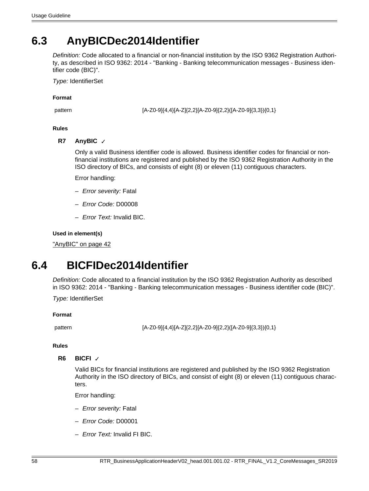# <span id="page-57-1"></span>**6.3 AnyBICDec2014Identifier**

Definition: Code allocated to a financial or non-financial institution by the ISO 9362 Registration Authority, as described in ISO 9362: 2014 - "Banking - Banking telecommunication messages - Business identifier code (BIC)".

Type: IdentifierSet

**Format**

pattern [A-Z0-9]{4,4}[A-Z]{2,2}[A-Z0-9]{2,2}([A-Z0-9]{3,3}){0,1}

### **Rules**

**R7 AnyBIC** ✓

Only a valid Business identifier code is allowed. Business identifier codes for financial or nonfinancial institutions are registered and published by the ISO 9362 Registration Authority in the ISO directory of BICs, and consists of eight (8) or eleven (11) contiguous characters.

Error handling:

- Error severity: Fatal
- Error Code: D00008
- Error Text: Invalid BIC.

### **Used in element(s)**

["AnyBIC" on page 42](#page-41-6)

# <span id="page-57-0"></span>**6.4 BICFIDec2014Identifier**

Definition: Code allocated to a financial institution by the ISO 9362 Registration Authority as described in ISO 9362: 2014 - "Banking - Banking telecommunication messages - Business identifier code (BIC)".

Type: IdentifierSet

#### **Format**

pattern [A-Z0-9]{4,4}[A-Z]{2,2}[A-Z0-9]{2,2}([A-Z0-9]{3,3}){0,1}

#### **Rules**

### **R6 BICFI** ✓

Valid BICs for financial institutions are registered and published by the ISO 9362 Registration Authority in the ISO directory of BICs, and consist of eight (8) or eleven (11) contiguous characters.

Error handling:

- Error severity: Fatal
- Error Code: D00001
- Error Text: Invalid FI BIC.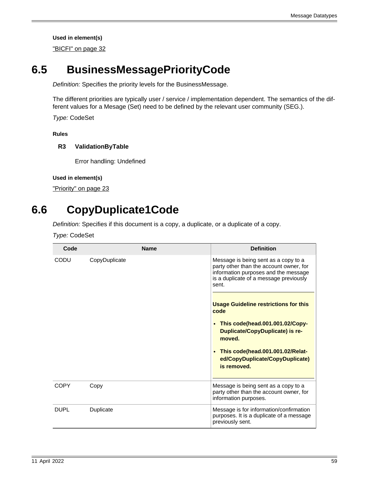["BICFI" on page 32](#page-31-7)

# <span id="page-58-3"></span>**6.5 BusinessMessagePriorityCode**

Definition: Specifies the priority levels for the BusinessMessage.

The different priorities are typically user / service / implementation dependent. The semantics of the different values for a Mesage (Set) need to be defined by the relevant user community (SEG.).

Type: CodeSet

**Rules**

### **R3 ValidationByTable**

Error handling: Undefined

### **Used in element(s)**

["Priority" on page 23](#page-22-3)

# <span id="page-58-2"></span>**6.6 CopyDuplicate1Code**

Definition: Specifies if this document is a copy, a duplicate, or a duplicate of a copy.

Type: CodeSet

<span id="page-58-1"></span><span id="page-58-0"></span>

| Code        | <b>Name</b>   | <b>Definition</b>                                                                                                                                                          |
|-------------|---------------|----------------------------------------------------------------------------------------------------------------------------------------------------------------------------|
| CODU        | CopyDuplicate | Message is being sent as a copy to a<br>party other than the account owner, for<br>information purposes and the message<br>is a duplicate of a message previously<br>sent. |
|             |               | <b>Usage Guideline restrictions for this</b><br>code                                                                                                                       |
|             |               | This code(head.001.001.02/Copy-<br>$\bullet$<br><b>Duplicate/CopyDuplicate) is re-</b><br>moved.                                                                           |
|             |               | This code(head.001.001.02/Relat-<br>ed/CopyDuplicate/CopyDuplicate)<br>is removed.                                                                                         |
| COPY        | Copy          | Message is being sent as a copy to a<br>party other than the account owner, for<br>information purposes.                                                                   |
| <b>DUPL</b> | Duplicate     | Message is for information/confirmation<br>purposes. It is a duplicate of a message<br>previously sent.                                                                    |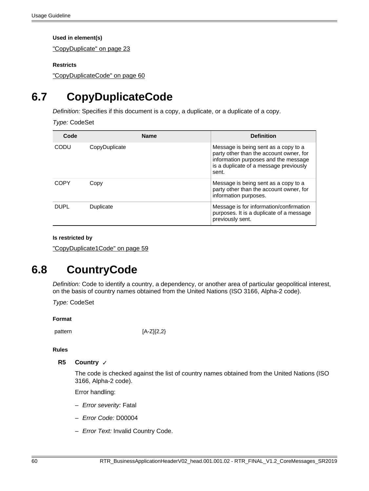["CopyDuplicate" on page 23](#page-22-1)

### **Restricts**

["CopyDuplicateCode" on page 60](#page-59-1)

# <span id="page-59-1"></span>**6.7 CopyDuplicateCode**

Definition: Specifies if this document is a copy, a duplicate, or a duplicate of a copy.

Type: CodeSet

| Code        | <b>Name</b>   | <b>Definition</b>                                                                                                                                                          |
|-------------|---------------|----------------------------------------------------------------------------------------------------------------------------------------------------------------------------|
| CODU        | CopyDuplicate | Message is being sent as a copy to a<br>party other than the account owner, for<br>information purposes and the message<br>is a duplicate of a message previously<br>sent. |
| COPY        | Copy          | Message is being sent as a copy to a<br>party other than the account owner, for<br>information purposes.                                                                   |
| <b>DUPL</b> | Duplicate     | Message is for information/confirmation<br>purposes. It is a duplicate of a message<br>previously sent.                                                                    |

#### **Is restricted by**

["CopyDuplicate1Code" on page 59](#page-58-2)

# <span id="page-59-0"></span>**6.8 CountryCode**

Definition: Code to identify a country, a dependency, or another area of particular geopolitical interest, on the basis of country names obtained from the United Nations (ISO 3166, Alpha-2 code).

Type: CodeSet

#### **Format**

pattern [A-Z]{2,2}

#### **Rules**

### **R5 Country** ✓

The code is checked against the list of country names obtained from the United Nations (ISO 3166, Alpha-2 code).

Error handling:

- Error severity: Fatal
- Error Code: D00004
- Error Text: Invalid Country Code.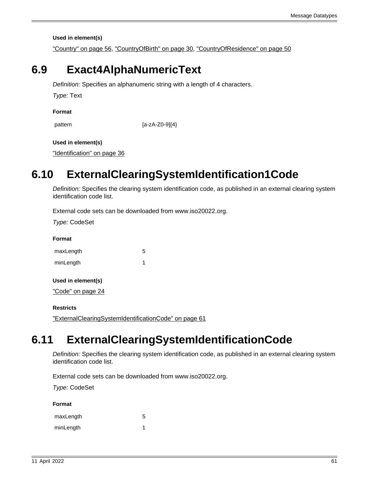["Country" on page 56,](#page-55-1) ["CountryOfBirth" on page 30,](#page-29-3) ["CountryOfResidence" on page 50](#page-49-5)

## <span id="page-60-1"></span>**6.9 Exact4AlphaNumericText**

Definition: Specifies an alphanumeric string with a length of 4 characters.

Type: Text

**Format**

pattern [a-zA-Z0-9]{4}

### **Used in element(s)**

["Identification" on page 36](#page-35-1)

# <span id="page-60-0"></span>**6.10 ExternalClearingSystemIdentification1Code**

Definition: Specifies the clearing system identification code, as published in an external clearing system identification code list.

External code sets can be downloaded from www.iso20022.org.

Type: CodeSet

**Format**

| maxLength | 5 |
|-----------|---|
| minLength |   |

**Used in element(s)**

["Code" on page 24](#page-23-1)

#### **Restricts**

["ExternalClearingSystemIdentificationCode" on page 61](#page-60-2)

# <span id="page-60-2"></span>**6.11 ExternalClearingSystemIdentificationCode**

Definition: Specifies the clearing system identification code, as published in an external clearing system identification code list.

External code sets can be downloaded from www.iso20022.org.

Type: CodeSet

**Format**

| maxLength | 5 |
|-----------|---|
| minLength |   |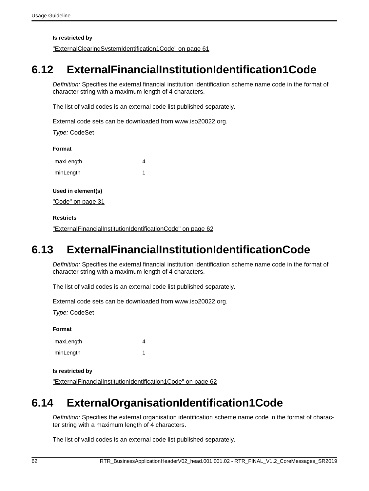**Is restricted by**

["ExternalClearingSystemIdentification1Code" on page 61](#page-60-0)

# <span id="page-61-0"></span>**6.12 ExternalFinancialInstitutionIdentification1Code**

Definition: Specifies the external financial institution identification scheme name code in the format of character string with a maximum length of 4 characters.

The list of valid codes is an external code list published separately.

External code sets can be downloaded from www.iso20022.org.

Type: CodeSet

**Format**

| maxLength |  |
|-----------|--|
| minLength |  |

**Used in element(s)**

["Code" on page 31](#page-30-1)

### **Restricts**

["ExternalFinancialInstitutionIdentificationCode" on page 62](#page-61-2)

# <span id="page-61-2"></span>**6.13 ExternalFinancialInstitutionIdentificationCode**

Definition: Specifies the external financial institution identification scheme name code in the format of character string with a maximum length of 4 characters.

The list of valid codes is an external code list published separately.

External code sets can be downloaded from www.iso20022.org.

Type: CodeSet

**Format**

| maxLength |  |
|-----------|--|
| minLength |  |

#### **Is restricted by**

["ExternalFinancialInstitutionIdentification1Code" on page 62](#page-61-0)

# <span id="page-61-1"></span>**6.14 ExternalOrganisationIdentification1Code**

Definition: Specifies the external organisation identification scheme name code in the format of character string with a maximum length of 4 characters.

The list of valid codes is an external code list published separately.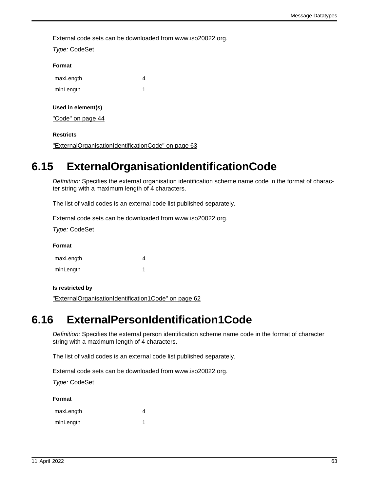External code sets can be downloaded from www.iso20022.org.

| Type: CodeSet      |   |
|--------------------|---|
| Format             |   |
| maxLength          | 4 |
| minLength          | 1 |
| Used in element(s) |   |
| "Code" on page 44  |   |
| <b>Restricts</b>   |   |

["ExternalOrganisationIdentificationCode" on page 63](#page-62-1)

# <span id="page-62-1"></span>**6.15 ExternalOrganisationIdentificationCode**

Definition: Specifies the external organisation identification scheme name code in the format of character string with a maximum length of 4 characters.

The list of valid codes is an external code list published separately.

External code sets can be downloaded from www.iso20022.org.

Type: CodeSet

**Format**

| maxLength |  |
|-----------|--|
| minLength |  |

**Is restricted by**

["ExternalOrganisationIdentification1Code" on page 62](#page-61-1)

# <span id="page-62-0"></span>**6.16 ExternalPersonIdentification1Code**

Definition: Specifies the external person identification scheme name code in the format of character string with a maximum length of 4 characters.

The list of valid codes is an external code list published separately.

External code sets can be downloaded from www.iso20022.org.

Type: CodeSet

**Format**

| maxLength |  |
|-----------|--|
| minLength |  |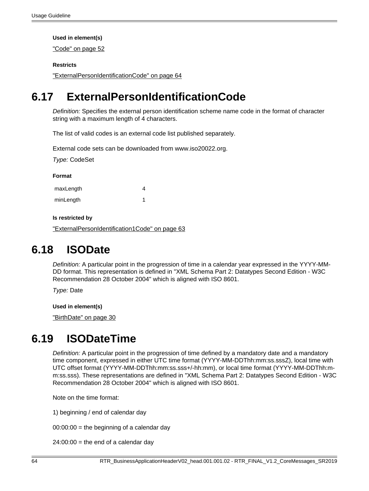["Code" on page 52](#page-51-2)

### **Restricts**

["ExternalPersonIdentificationCode" on page 64](#page-63-2)

# <span id="page-63-2"></span>**6.17 ExternalPersonIdentificationCode**

Definition: Specifies the external person identification scheme name code in the format of character string with a maximum length of 4 characters.

The list of valid codes is an external code list published separately.

External code sets can be downloaded from www.iso20022.org.

Type: CodeSet

#### **Format**

| maxLength | 4 |
|-----------|---|
| minLength |   |

### **Is restricted by**

["ExternalPersonIdentification1Code" on page 63](#page-62-0)

## <span id="page-63-1"></span>**6.18 ISODate**

Definition: A particular point in the progression of time in a calendar year expressed in the YYYY-MM-DD format. This representation is defined in "XML Schema Part 2: Datatypes Second Edition - W3C Recommendation 28 October 2004" which is aligned with ISO 8601.

Type: Date

**Used in element(s)**

["BirthDate" on page 30](#page-29-0)

# <span id="page-63-0"></span>**6.19 ISODateTime**

Definition: A particular point in the progression of time defined by a mandatory date and a mandatory time component, expressed in either UTC time format (YYYY-MM-DDThh:mm:ss.sssZ), local time with UTC offset format (YYYY-MM-DDThh:mm:ss.sss+/-hh:mm), or local time format (YYYY-MM-DDThh:mm:ss.sss). These representations are defined in "XML Schema Part 2: Datatypes Second Edition - W3C Recommendation 28 October 2004" which is aligned with ISO 8601.

Note on the time format:

1) beginning / end of calendar day

 $00:00:00 =$  the beginning of a calendar day

 $24:00:00 =$  the end of a calendar day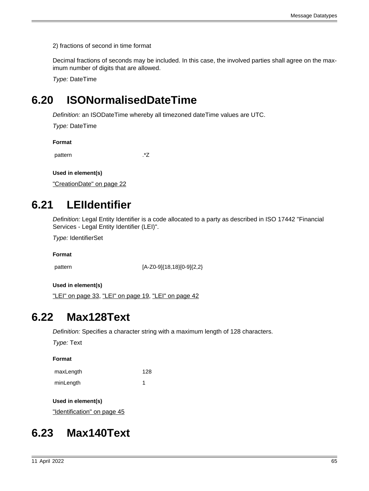2) fractions of second in time format

Decimal fractions of seconds may be included. In this case, the involved parties shall agree on the maximum number of digits that are allowed.

Type: DateTime

# <span id="page-64-0"></span>**6.20 ISONormalisedDateTime**

Definition: an ISODateTime whereby all timezoned dateTime values are UTC.

Type: DateTime

**Format**

pattern .\*Z

**Used in element(s)**

["CreationDate" on page 22](#page-21-5)

# <span id="page-64-1"></span>**6.21 LEIIdentifier**

Definition: Legal Entity Identifier is a code allocated to a party as described in ISO 17442 "Financial Services - Legal Entity Identifier (LEI)".

Type: IdentifierSet

**Format**

pattern [A-Z0-9]{18,18}[0-9]{2,2}

**Used in element(s)**

["LEI" on page 33,](#page-32-8) ["LEI" on page 19](#page-18-0), ["LEI" on page 42](#page-41-7)

## <span id="page-64-3"></span>**6.22 Max128Text**

Definition: Specifies a character string with a maximum length of 128 characters.

Type: Text

**Format**

| maxLength | 128 |
|-----------|-----|
| minLength |     |

**Used in element(s)**

["Identification" on page 45](#page-44-0)

# <span id="page-64-2"></span>**6.23 Max140Text**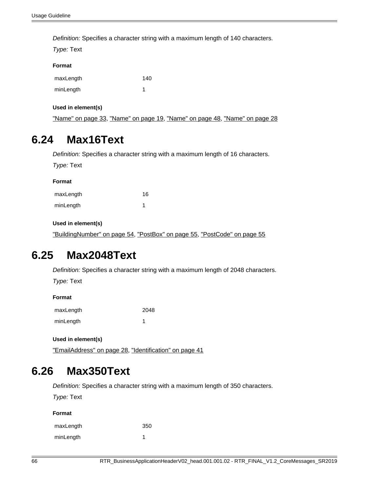Definition: Specifies a character string with a maximum length of 140 characters.

Type: Text

#### **Format**

| maxLength | 140 |
|-----------|-----|
| minLength |     |

**Used in element(s)**

["Name" on page 33,](#page-32-9) ["Name" on page 19,](#page-18-1) ["Name" on page 48,](#page-47-4) ["Name" on page 28](#page-27-0)

### <span id="page-65-2"></span>**6.24 Max16Text**

Definition: Specifies a character string with a maximum length of 16 characters.

Type: Text

| Format    |    |  |
|-----------|----|--|
| maxLength | 16 |  |
| minLength |    |  |

### **Used in element(s)**

["BuildingNumber" on page 54](#page-53-3), ["PostBox" on page 55,](#page-54-0) ["PostCode" on page 55](#page-54-2)

## <span id="page-65-0"></span>**6.25 Max2048Text**

Definition: Specifies a character string with a maximum length of 2048 characters.

Type: Text

**Format**

| maxLength | 2048 |
|-----------|------|
| minLength |      |

**Used in element(s)**

["EmailAddress" on page 28,](#page-27-4) ["Identification" on page 41](#page-40-1)

## <span id="page-65-1"></span>**6.26 Max350Text**

Definition: Specifies a character string with a maximum length of 350 characters.

Type: Text

**Format**

| maxLength | 350 |
|-----------|-----|
| minLength |     |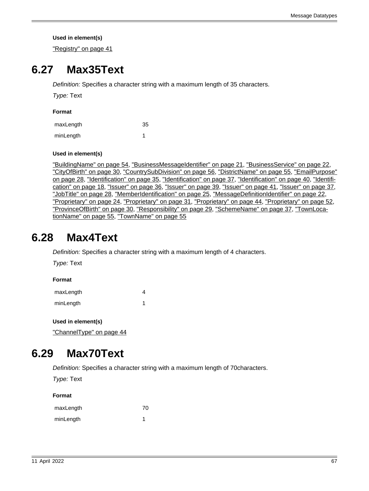["Registry" on page 41](#page-40-0)

## <span id="page-66-0"></span>**6.27 Max35Text**

Definition: Specifies a character string with a maximum length of 35 characters.

Type: Text

| maxLength | 35 |
|-----------|----|
| minLength |    |

### **Used in element(s)**

["BuildingName" on page 54](#page-53-4), ["BusinessMessageIdentifier" on page 21](#page-20-2), ["BusinessService" on page 22,](#page-21-4) ["CityOfBirth" on page 30](#page-29-2), ["CountrySubDivision" on page 56,](#page-55-0) ["DistrictName" on page 55](#page-54-5), ["EmailPurpose"](#page-27-5) [on page 28](#page-27-5), ["Identification" on page 35,](#page-34-5) ["Identification" on page 37](#page-36-3), ["Identification" on page 40,](#page-39-3) ["Identifi](#page-17-5)[cation" on page 18](#page-17-5), ["Issuer" on page 36,](#page-35-3) ["Issuer" on page 39,](#page-38-7) ["Issuer" on page 41](#page-40-3), ["Issuer" on page 37,](#page-36-1) ["JobTitle" on page 28,](#page-27-6) ["MemberIdentification" on page 25](#page-24-5), ["MessageDefinitionIdentifier" on page 22](#page-21-3), ["Proprietary" on page 24,](#page-23-2) ["Proprietary" on page 31](#page-30-2), ["Proprietary" on page 44,](#page-43-4) ["Proprietary" on page 52,](#page-51-3) ["ProvinceOfBirth" on page 30,](#page-29-1) ["Responsibility" on page 29](#page-28-0), ["SchemeName" on page 37,](#page-36-2) ["TownLoca](#page-54-4)[tionName" on page 55](#page-54-4), ["TownName" on page 55](#page-54-3)

## <span id="page-66-2"></span>**6.28 Max4Text**

Definition: Specifies a character string with a maximum length of 4 characters.

Type: Text

**Format**

| maxLength |  |
|-----------|--|
| minLength |  |

**Used in element(s)**

["ChannelType" on page 44](#page-43-1)

## <span id="page-66-1"></span>**6.29 Max70Text**

Definition: Specifies a character string with a maximum length of 70characters.

Type: Text

#### **Format**

| maxLength | 70 |
|-----------|----|
| minLength |    |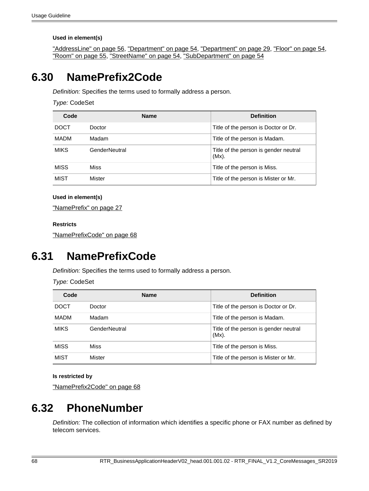["AddressLine" on page 56,](#page-55-2) ["Department" on page 54](#page-53-0), ["Department" on page 29,](#page-28-1) ["Floor" on page 54](#page-53-5), ["Room" on page 55,](#page-54-1) ["StreetName" on page 54](#page-53-2), ["SubDepartment" on page 54](#page-53-1)

## <span id="page-67-0"></span>**6.30 NamePrefix2Code**

Definition: Specifies the terms used to formally address a person.

Type: CodeSet

| Code        | <b>Name</b>   | <b>Definition</b>                                 |
|-------------|---------------|---------------------------------------------------|
| <b>DOCT</b> | Doctor        | Title of the person is Doctor or Dr.              |
| MADM        | Madam         | Title of the person is Madam.                     |
| <b>MIKS</b> | GenderNeutral | Title of the person is gender neutral<br>$(Mx)$ . |
| <b>MISS</b> | Miss          | Title of the person is Miss.                      |
| <b>MIST</b> | Mister        | Title of the person is Mister or Mr.              |

### **Used in element(s)**

["NamePrefix" on page 27](#page-26-2)

### **Restricts**

["NamePrefixCode" on page 68](#page-67-2)

## <span id="page-67-2"></span>**6.31 NamePrefixCode**

Definition: Specifies the terms used to formally address a person.

Type: CodeSet

| Code        | <b>Name</b>   | <b>Definition</b>                                 |
|-------------|---------------|---------------------------------------------------|
| <b>DOCT</b> | Doctor        | Title of the person is Doctor or Dr.              |
| <b>MADM</b> | Madam         | Title of the person is Madam.                     |
| <b>MIKS</b> | GenderNeutral | Title of the person is gender neutral<br>$(Mx)$ . |
| <b>MISS</b> | Miss          | Title of the person is Miss.                      |
| <b>MIST</b> | Mister        | Title of the person is Mister or Mr.              |

#### **Is restricted by**

["NamePrefix2Code" on page 68](#page-67-0)

# <span id="page-67-1"></span>**6.32 PhoneNumber**

Definition: The collection of information which identifies a specific phone or FAX number as defined by telecom services.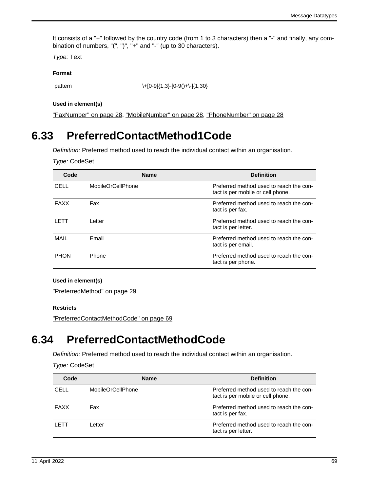It consists of a "+" followed by the country code (from 1 to 3 characters) then a "-" and finally, any combination of numbers, "(", ")", "+" and "-" (up to 30 characters).

Type: Text

#### **Format**

pattern \+[0-9]{1,3}-[0-9()+\-]{1,30}

#### **Used in element(s)**

["FaxNumber" on page 28](#page-27-3), ["MobileNumber" on page 28,](#page-27-2) ["PhoneNumber" on page 28](#page-27-1)

## <span id="page-68-0"></span>**6.33 PreferredContactMethod1Code**

Definition: Preferred method used to reach the individual contact within an organisation.

Type: CodeSet

| Code        | <b>Name</b>              | <b>Definition</b>                                                            |
|-------------|--------------------------|------------------------------------------------------------------------------|
| CELL        | <b>MobileOrCellPhone</b> | Preferred method used to reach the con-<br>tact is per mobile or cell phone. |
| <b>FAXX</b> | Fax                      | Preferred method used to reach the con-<br>tact is per fax.                  |
| <b>LETT</b> | Letter                   | Preferred method used to reach the con-<br>tact is per letter.               |
| MAIL        | Email                    | Preferred method used to reach the con-<br>tact is per email.                |
| <b>PHON</b> | Phone                    | Preferred method used to reach the con-<br>tact is per phone.                |

#### **Used in element(s)**

["PreferredMethod" on page 29](#page-28-3)

#### **Restricts**

["PreferredContactMethodCode" on page 69](#page-68-1)

### <span id="page-68-1"></span>**6.34 PreferredContactMethodCode**

Definition: Preferred method used to reach the individual contact within an organisation.

Type: CodeSet

| Code        | <b>Name</b>       | <b>Definition</b>                                                            |
|-------------|-------------------|------------------------------------------------------------------------------|
| CELL        | MobileOrCellPhone | Preferred method used to reach the con-<br>tact is per mobile or cell phone. |
| <b>FAXX</b> | Fax               | Preferred method used to reach the con-<br>tact is per fax.                  |
| I ETT       | Letter            | Preferred method used to reach the con-<br>tact is per letter.               |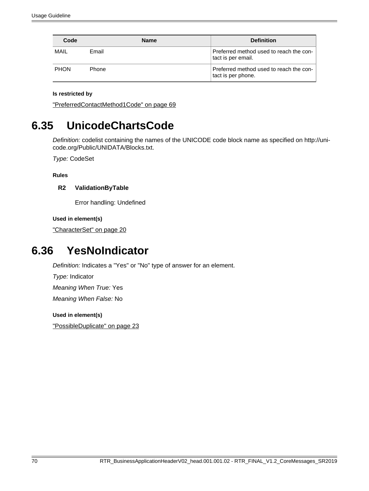| Code        | <b>Name</b> | <b>Definition</b>                                             |
|-------------|-------------|---------------------------------------------------------------|
| MAIL        | Email       | Preferred method used to reach the con-<br>tact is per email. |
| <b>PHON</b> | Phone       | Preferred method used to reach the con-<br>tact is per phone. |

### **Is restricted by**

["PreferredContactMethod1Code" on page 69](#page-68-0)

## <span id="page-69-0"></span>**6.35 UnicodeChartsCode**

Definition: codelist containing the names of the UNICODE code block name as specified on http://unicode.org/Public/UNIDATA/Blocks.txt.

Type: CodeSet

**Rules**

### **R2 ValidationByTable**

Error handling: Undefined

**Used in element(s)**

["CharacterSet" on page 20](#page-19-1)

## <span id="page-69-1"></span>**6.36 YesNoIndicator**

Definition: Indicates a "Yes" or "No" type of answer for an element.

Type: Indicator

Meaning When True: Yes

Meaning When False: No

#### **Used in element(s)**

["PossibleDuplicate" on page 23](#page-22-2)